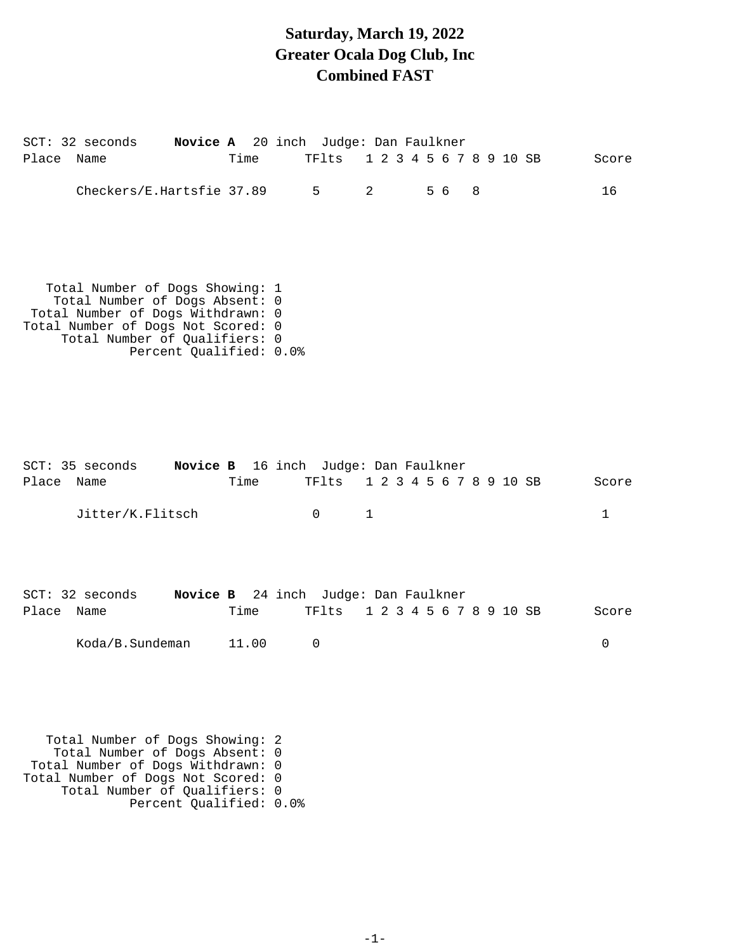# **Saturday, March 19, 2022 Greater Ocala Dog Club, Inc Combined FAST**

| SCT: 32 seconds Novice A 20 inch Judge: Dan Faulkner                                                                                                                          |                         |                                                    |                                    |     |   |            |
|-------------------------------------------------------------------------------------------------------------------------------------------------------------------------------|-------------------------|----------------------------------------------------|------------------------------------|-----|---|------------|
| Place<br>Name                                                                                                                                                                 | Time                    | TFlts                                              | 1 2 3 4 5 6 7 8 9 10 SB            |     |   | Score      |
| Checkers/E.Hartsfie 37.89                                                                                                                                                     |                         | 5                                                  | 2                                  | 5 6 | 8 | 16         |
| Total Number of Dogs Showing: 1<br>Total Number of Dogs Absent: 0<br>Total Number of Dogs Withdrawn: 0<br>Total Number of Dogs Not Scored: 0<br>Total Number of Qualifiers: 0 | Percent Qualified: 0.0% |                                                    |                                    |     |   |            |
| SCT: 35 seconds<br>Place Name<br>Jitter/K.Flitsch                                                                                                                             | Time                    | Novice B 16 inch Judge: Dan Faulkner<br>0          | TF1ts 1 2 3 4 5 6 7 8 9 10 SB<br>1 |     |   | Score<br>1 |
| $SCT: 32$ seconds<br>Place<br>Name<br>Koda/B.Sundeman                                                                                                                         | Time<br>11.00           | Novice B 24 inch Judge: Dan Faulkner<br>TFlts<br>0 | 1 2 3 4 5 6 7 8 9 10 SB            |     |   | Score<br>0 |
| Total Number of Dogs Showing:<br>Total Number of Dogs Absent:<br>Total Number of Dogs Withdrawn:<br>Total Number of Dogs Not Scored: 0<br>Total Number of Qualifiers: 0       | Percent Qualified: 0.0% | - 2<br>0<br>$\Omega$                               |                                    |     |   |            |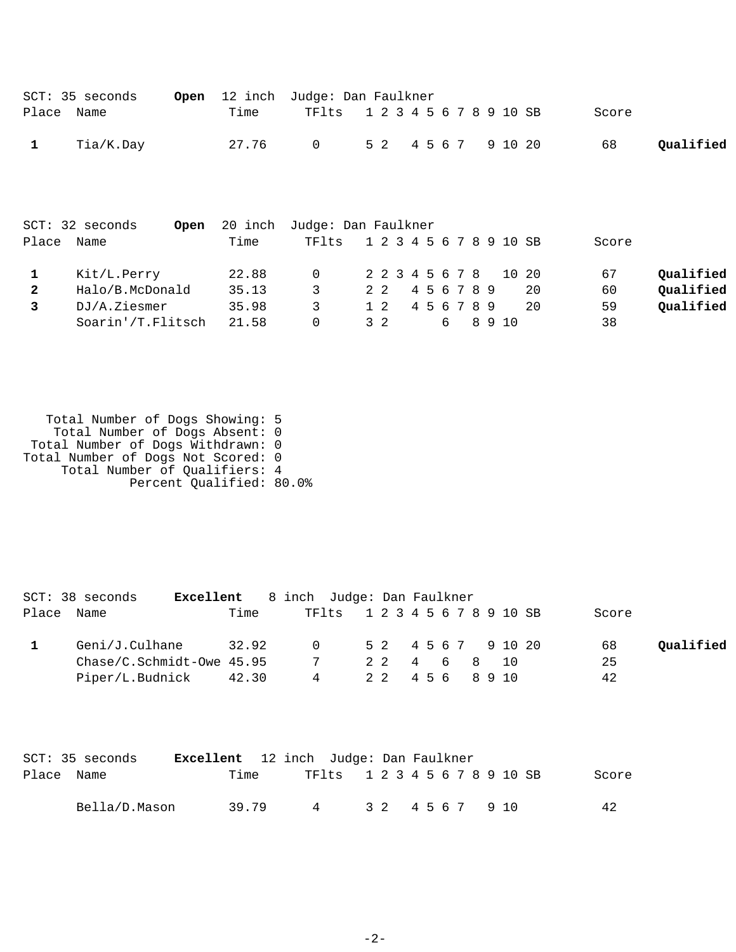|              | SCT: 35 seconds |      | <b>Open</b> 12 inch Judge: Dan Faulkner |  |  |  |       |           |
|--------------|-----------------|------|-----------------------------------------|--|--|--|-------|-----------|
| Place Name   |                 | Time | TF1ts 1 2 3 4 5 6 7 8 9 10 SB           |  |  |  | Score |           |
| $\mathbf{1}$ | Tia/K.Day       |      | 27.76 0 52 4567 91020                   |  |  |  | 68    | Oualified |

|       | SCT: 32 seconds<br>Open | 20 inch | Judge: Dan Faulkner |                         |        |        |  |  |        |     |       |           |
|-------|-------------------------|---------|---------------------|-------------------------|--------|--------|--|--|--------|-----|-------|-----------|
| Place | Name                    | Time    | TF1ts               | 1 2 3 4 5 6 7 8 9 10 SB |        |        |  |  |        |     | Score |           |
|       | Kit/L.Perry             | 22.88   | - 0                 | 2 2 3 4 5 6 7 8 10 20   |        |        |  |  |        |     | 67    | Qualified |
|       | Halo/B.McDonald         | 35.13   |                     | 2 2                     | 456789 |        |  |  |        | 20  | 60    | Qualified |
|       | DJ/A.Ziesmer            | 35.98   | 3                   | 1 2                     |        | 456789 |  |  |        | -20 | 59    | Qualified |
|       | Soarin'/T.Flitsch       | 21.58   | $\Omega$            | 3 2                     |        |        |  |  | 6 8910 |     | 38    |           |

 Total Number of Dogs Showing: 5 Total Number of Dogs Absent: 0 Total Number of Dogs Withdrawn: 0 Total Number of Dogs Not Scored: 0 Total Number of Qualifiers: 4 Percent Qualified: 80.0%

|       | SCT: 38 seconds             | Excellent |       | 8 inch Judge: Dan Faulkner |                               |                     |  |  |  |  |       |           |
|-------|-----------------------------|-----------|-------|----------------------------|-------------------------------|---------------------|--|--|--|--|-------|-----------|
| Place | Name                        |           | Time  |                            | TF1ts 1 2 3 4 5 6 7 8 9 10 SB |                     |  |  |  |  | Score |           |
|       | Geni/J.Culhane              |           | 32.92 |                            | $\Omega$ and $\Omega$         | 5 2 4 5 6 7 9 10 20 |  |  |  |  | 68    | Qualified |
|       | $Chase/C.Schmidt-Owe 45.95$ |           |       |                            | $7\overline{ }$               | 2 2 4 6 8 10        |  |  |  |  | 25    |           |
|       | Piper/L.Budnick 42.30       |           |       |                            | 4                             | 22 456 8910         |  |  |  |  | 42    |           |

|            | SCT: 35 seconds | <b>Excellent</b> 12 inch Judge: Dan Faulkner |  |                               |  |  |  |  |             |  |       |
|------------|-----------------|----------------------------------------------|--|-------------------------------|--|--|--|--|-------------|--|-------|
| Place Name |                 | Time                                         |  | TF1ts 1 2 3 4 5 6 7 8 9 10 SB |  |  |  |  |             |  | Score |
|            | Bella/D.Mason   | 39.79                                        |  | 4                             |  |  |  |  | 32 4567 910 |  | 42    |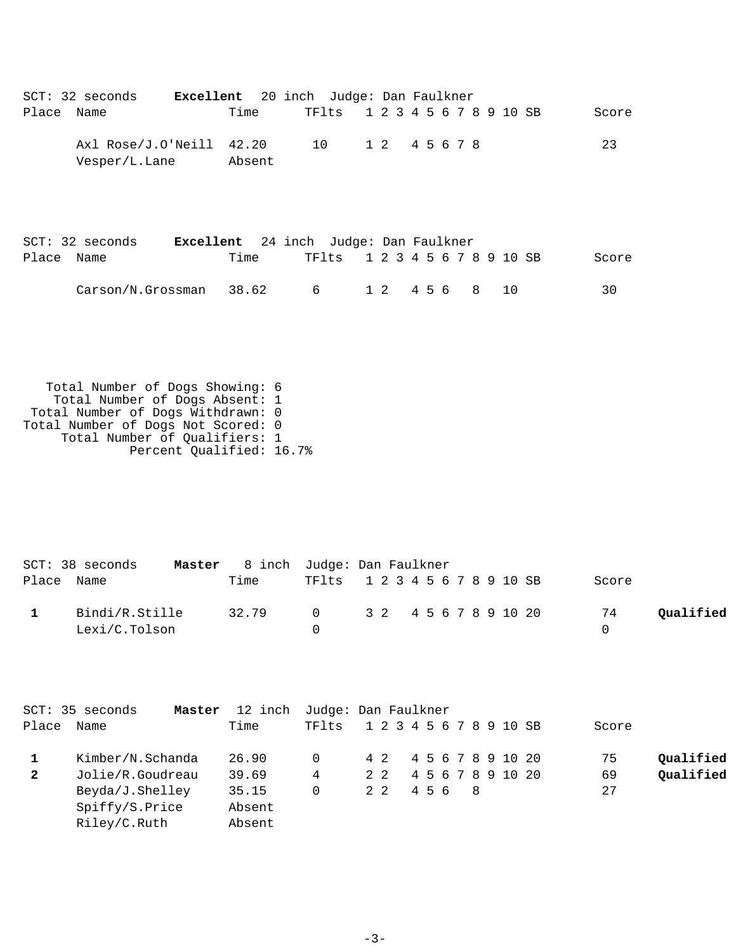| Place Name              | SCT: 32 seconds                                                                                                                                                                                           | Excellent 20 inch Judge: Dan Faulkner<br>Time | TFlts               |            | 1 2 3 4 5 6 7 8 9 10 SB       |         | Score                |           |
|-------------------------|-----------------------------------------------------------------------------------------------------------------------------------------------------------------------------------------------------------|-----------------------------------------------|---------------------|------------|-------------------------------|---------|----------------------|-----------|
|                         | Axl Rose/J.O'Neill 42.20<br>Vesper/L.Lane                                                                                                                                                                 | Absent                                        | 10                  |            | 1 2 4 5 6 7 8                 |         | 23                   |           |
|                         | SCT: 32 seconds Excellent 24 inch Judge: Dan Faulkner                                                                                                                                                     |                                               |                     |            |                               |         |                      |           |
| Place Name              |                                                                                                                                                                                                           | Time                                          | TFlts               |            | 1 2 3 4 5 6 7 8 9 10 SB       |         | Score                |           |
|                         | Carson/N.Grossman                                                                                                                                                                                         | 38.62                                         | 6                   | $1\quad2$  | 4 5 6                         | 8<br>10 | 30                   |           |
|                         | Total Number of Dogs Showing: 6<br>Total Number of Dogs Absent: 1<br>Total Number of Dogs Withdrawn: 0<br>Total Number of Dogs Not Scored: 0<br>Total Number of Qualifiers: 1<br>Percent Qualified: 16.7% |                                               |                     |            |                               |         |                      |           |
|                         | SCT: 38 seconds                                                                                                                                                                                           | Master 8 inch Judge: Dan Faulkner             |                     |            |                               |         |                      |           |
| Place Name              |                                                                                                                                                                                                           | Time                                          |                     |            | TF1ts 1 2 3 4 5 6 7 8 9 10 SB |         | Score                |           |
| $\mathbf{1}$            | Bindi/R.Stille<br>Lexi/C.Tolson                                                                                                                                                                           | 32.79                                         | 0<br>$\overline{0}$ | $3\quad2$  | 4 5 6 7 8 9 10 20             |         | 74<br>$\overline{0}$ | Qualified |
| Place                   | SCT: 35 seconds<br>Name                                                                                                                                                                                   | Master 12 inch Judge: Dan Faulkner<br>Time    | TFlts               |            | 1 2 3 4 5 6 7 8 9 10 SB       |         | Score                |           |
| $\mathbf{1}$            | Kimber/N.Schanda                                                                                                                                                                                          | 26.90                                         | 0                   | 4 2        | 4 5 6 7 8 9 10 20             |         | 75                   | Qualified |
| $\overline{\mathbf{2}}$ | Jolie/R.Goudreau                                                                                                                                                                                          | 39.69                                         | $\overline{4}$      | $2\quad 2$ | 4 5 6 7 8 9 10 20             |         | 69                   | Qualified |

Beyda/J.Shelley 35.15 0 2 2 4 5 6 8 27

 Spiffy/S.Price Absent Riley/C.Ruth Absent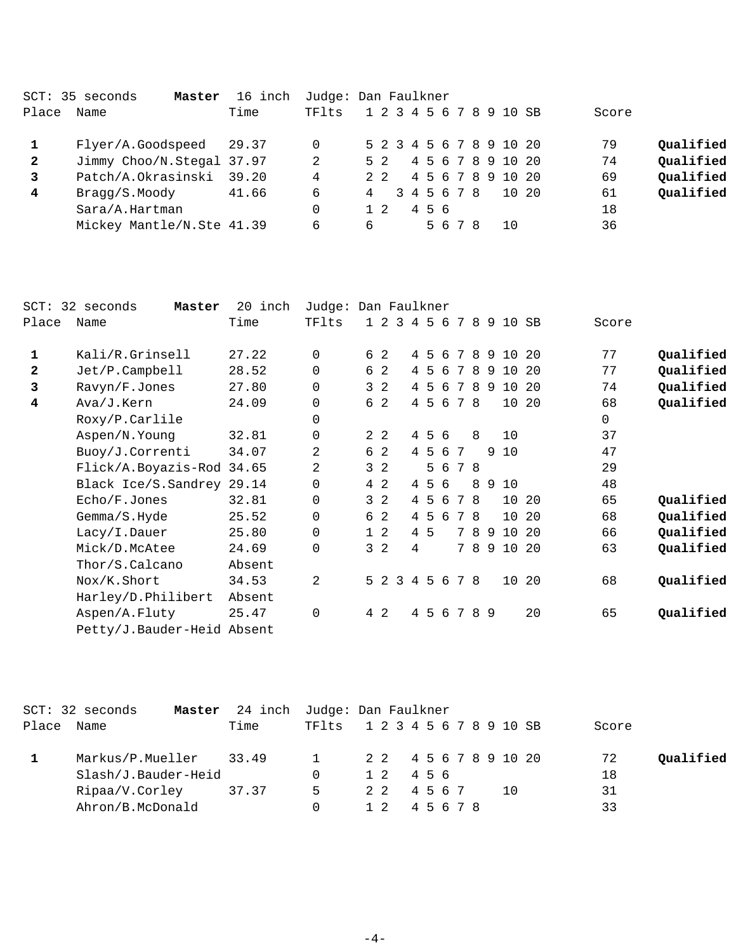|              | SCT: 35 seconds<br>Master | 16 inch | Judge: Dan Faulkner |   |             |  |     |             |  |                         |       |           |
|--------------|---------------------------|---------|---------------------|---|-------------|--|-----|-------------|--|-------------------------|-------|-----------|
| Place        | Name                      | Time    | TFlts               |   |             |  |     |             |  | 1 2 3 4 5 6 7 8 9 10 SB | Score |           |
|              | Flyer/A.Goodspeed 29.37   |         | 0                   |   |             |  |     |             |  | 5 2 3 4 5 6 7 8 9 10 20 | 79    | Qualified |
| 2            | Jimmy Choo/N.Stegal 37.97 |         | 2                   |   | 5 2         |  |     |             |  | 4 5 6 7 8 9 10 20       | 74    | Qualified |
| $\mathbf{3}$ | Patch/A.Okrasinski        | 39.20   | 4                   |   | $2 \quad 2$ |  |     |             |  | 4 5 6 7 8 9 10 20       | 69    | Qualified |
| 4            | Bragg/S.Moody             | 41.66   | 6                   | 4 |             |  |     | 3 4 5 6 7 8 |  | 10 20                   | 61    | Qualified |
|              | Sara/A.Hartman            |         | 0                   |   | $1\quad2$   |  | 456 |             |  |                         | 18    |           |
|              | Mickey Mantle/N.Ste 41.39 |         | 6                   | 6 |             |  |     | 5678        |  | 10                      | 36    |           |
|              |                           |         |                     |   |             |  |     |             |  |                         |       |           |

| 32 seconds<br>Master | 20<br>inch |                                                                                       |        |        |                                                                                                                                                    |                |                 |                          |                                             |                                                                         |                                                      |                                                             |                         |                  |                                                                                       |           |
|----------------------|------------|---------------------------------------------------------------------------------------|--------|--------|----------------------------------------------------------------------------------------------------------------------------------------------------|----------------|-----------------|--------------------------|---------------------------------------------|-------------------------------------------------------------------------|------------------------------------------------------|-------------------------------------------------------------|-------------------------|------------------|---------------------------------------------------------------------------------------|-----------|
| Name                 | Time       | TFlts                                                                                 |        |        |                                                                                                                                                    |                |                 |                          |                                             |                                                                         |                                                      |                                                             |                         |                  | Score                                                                                 |           |
| Kali/R.Grinsell      | 27.22      | $\Omega$                                                                              |        |        |                                                                                                                                                    |                |                 |                          |                                             |                                                                         |                                                      |                                                             |                         |                  | 77                                                                                    | Qualified |
| Jet/P.Campbell       | 28.52      | 0                                                                                     |        |        |                                                                                                                                                    |                |                 |                          |                                             |                                                                         |                                                      |                                                             |                         |                  | 77                                                                                    | Qualified |
| Ravyn/F.Jones        | 27.80      | $\Omega$                                                                              |        |        |                                                                                                                                                    |                |                 |                          |                                             |                                                                         |                                                      |                                                             |                         |                  | 74                                                                                    | Qualified |
| Ava/J.Kern           | 24.09      | 0                                                                                     |        |        |                                                                                                                                                    |                |                 |                          |                                             |                                                                         |                                                      |                                                             | 10                      |                  | 68                                                                                    | Qualified |
| Roxy/P.Carlile       |            | 0                                                                                     |        |        |                                                                                                                                                    |                |                 |                          |                                             |                                                                         |                                                      |                                                             |                         |                  | 0                                                                                     |           |
| Aspen/N.Young        | 32.81      | 0                                                                                     |        |        |                                                                                                                                                    |                |                 |                          |                                             |                                                                         |                                                      |                                                             | 10                      |                  | 37                                                                                    |           |
| Buoy/J.Correnti      | 34.07      | 2                                                                                     |        |        |                                                                                                                                                    |                |                 |                          |                                             |                                                                         |                                                      | 9                                                           |                         |                  | 47                                                                                    |           |
|                      |            | 2                                                                                     |        |        |                                                                                                                                                    |                |                 |                          |                                             |                                                                         |                                                      |                                                             |                         |                  | 29                                                                                    |           |
|                      |            | 0                                                                                     |        |        |                                                                                                                                                    |                |                 |                          |                                             |                                                                         |                                                      |                                                             |                         |                  | 48                                                                                    |           |
| Echo/F.Jones         | 32.81      | 0                                                                                     |        |        |                                                                                                                                                    |                |                 |                          |                                             |                                                                         |                                                      |                                                             |                         |                  | 65                                                                                    | Qualified |
| Gemma/S.Hyde         | 25.52      | 0                                                                                     |        |        |                                                                                                                                                    |                |                 |                          |                                             |                                                                         |                                                      |                                                             |                         |                  | 68                                                                                    | Qualified |
| Lacy/I.Dauer         | 25.80      | 0                                                                                     |        |        |                                                                                                                                                    |                |                 |                          |                                             |                                                                         |                                                      |                                                             |                         |                  | 66                                                                                    | Qualified |
| Mick/D.McAtee        | 24.69      | 0                                                                                     |        |        |                                                                                                                                                    | 4              |                 |                          |                                             |                                                                         |                                                      |                                                             |                         |                  | 63                                                                                    | Qualified |
| Thor/S.Calcano       | Absent     |                                                                                       |        |        |                                                                                                                                                    |                |                 |                          |                                             |                                                                         |                                                      |                                                             |                         |                  |                                                                                       |           |
| Nox/K.Short          | 34.53      | 2                                                                                     |        |        | 3                                                                                                                                                  |                |                 |                          |                                             |                                                                         |                                                      |                                                             | 10                      |                  | 68                                                                                    | Qualified |
| Harley/D.Philibert   | Absent     |                                                                                       |        |        |                                                                                                                                                    |                |                 |                          |                                             |                                                                         |                                                      |                                                             |                         |                  |                                                                                       |           |
| Aspen/A.Fluty        | 25.47      | 0                                                                                     |        |        |                                                                                                                                                    |                |                 |                          |                                             |                                                                         |                                                      |                                                             |                         | 20               | 65                                                                                    | Qualified |
|                      |            |                                                                                       |        |        |                                                                                                                                                    |                |                 |                          |                                             |                                                                         |                                                      |                                                             |                         |                  |                                                                                       |           |
|                      | Place      | Flick/A.Boyazis-Rod 34.65<br>Black Ice/S. Sandrey 29.14<br>Petty/J.Bauder-Heid Absent | Judge: | 6<br>4 | 6 2<br>6 2<br>3 <sub>2</sub><br>$2\quad 2$<br>6 2<br>3 <sub>2</sub><br>4 2<br>3 <sub>2</sub><br>6 2<br>$1\quad2$<br>3 <sub>2</sub><br>$5 \t2$<br>2 | $\overline{a}$ | $1\quad2\quad3$ | 4<br>$\overline{4}$<br>4 | 4 5<br>4 5<br>4 5<br>-5<br>4 5<br>-5<br>4 5 | Dan Faulkner<br>4 5 6<br>6<br>6<br>6<br>456<br>5 6<br>6<br>6<br>6<br>56 | 7<br>7<br>7<br>4 5 6 7<br>$7\overline{ }$<br>4 5 6 7 | 4 5 6 7 8<br>8<br>78<br>8<br>78<br>8<br>78<br>78<br>8<br>78 | - 9<br>9<br>7 8 9<br>89 | 8910<br>10<br>10 | SB<br>8 9 10 20<br>9 10 20<br>10 20<br>20<br>10 20<br>10 20<br>10 20<br>9 10 20<br>20 |           |

|       | $SCT: 32$ seconds<br>Master | 24 inch Judge: Dan Faulkner |          |  |                         |       |  |  |  |     |       |           |
|-------|-----------------------------|-----------------------------|----------|--|-------------------------|-------|--|--|--|-----|-------|-----------|
| Place | Name                        | Time                        | TFlts    |  | 1 2 3 4 5 6 7 8 9 10 SB |       |  |  |  |     | Score |           |
|       | Markus/P.Mueller 33.49      |                             | $\sim$ 1 |  | 2 2 4 5 6 7 8 9 10 20   |       |  |  |  |     | 72    | Qualified |
|       | Slash/J.Bauder-Heid         |                             |          |  | 1 2 4 5 6               |       |  |  |  |     | 18    |           |
|       | Ripaa/V.Corley              | 37.37                       | 5        |  | 22 4567                 |       |  |  |  | 1 O | 31    |           |
|       | Ahron/B.McDonald            |                             |          |  |                         | 45678 |  |  |  |     | 33    |           |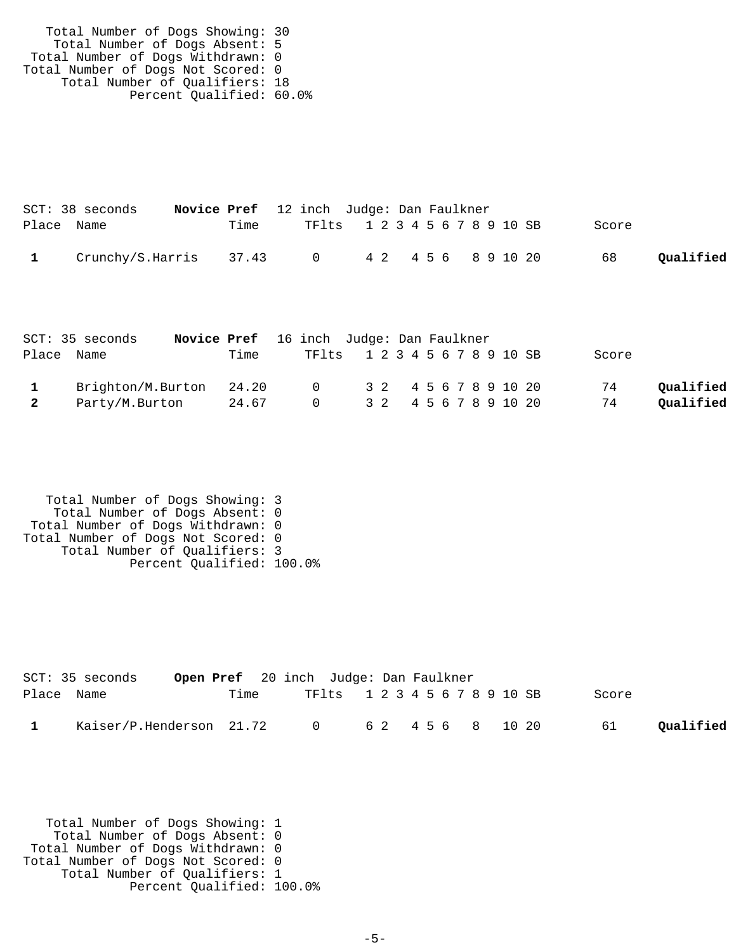| Total Number of Dogs Showing: 30   |  |
|------------------------------------|--|
| Total Number of Dogs Absent: 5     |  |
| Total Number of Dogs Withdrawn: 0  |  |
| Total Number of Dogs Not Scored: 0 |  |
| Total Number of Qualifiers: 18     |  |
| Percent Qualified: 60.0%           |  |

|            | $SCT: 38$ seconds                            |      | <b>Novice Pref</b> 12 inch Judge: Dan Faulkner |                               |  |  |       |           |
|------------|----------------------------------------------|------|------------------------------------------------|-------------------------------|--|--|-------|-----------|
| Place Name |                                              | Time |                                                | TF1ts 1 2 3 4 5 6 7 8 9 10 SB |  |  | Score |           |
|            | Crunchy/S.Harris 37.43 0 4 2 4 5 6 8 9 10 20 |      |                                                |                               |  |  | 68    | Qualified |

|                         | SCT: 35 seconds         | Novice Pref 16 inch Judge: Dan Faulkner |                               |  |  |  |  |  |       |           |
|-------------------------|-------------------------|-----------------------------------------|-------------------------------|--|--|--|--|--|-------|-----------|
|                         | Place Name              | Time                                    | TF1ts 1 2 3 4 5 6 7 8 9 10 SB |  |  |  |  |  | Score |           |
|                         | Brighton/M.Burton 24.20 |                                         | 0 3 2 4 5 6 7 8 9 10 20       |  |  |  |  |  | 74    | Qualified |
| $\overline{\mathbf{2}}$ | Party/M.Burton          | 24.67                                   | 0 3 2 4 5 6 7 8 9 10 20       |  |  |  |  |  | 74    | Qualified |

```
 Total Number of Dogs Showing: 3
 Total Number of Dogs Absent: 0
 Total Number of Dogs Withdrawn: 0
Total Number of Dogs Not Scored: 0
 Total Number of Qualifiers: 3
 Percent Qualified: 100.0%
```

|            | SCT: 35 seconds                                |      | <b>Open Pref</b> 20 inch Judge: Dan Faulkner |  |  |       |           |
|------------|------------------------------------------------|------|----------------------------------------------|--|--|-------|-----------|
| Place Name |                                                | Time | TF1ts 1 2 3 4 5 6 7 8 9 10 SB                |  |  | Score |           |
|            | Kaiser/P.Henderson $21.72$ 0 6 2 4 5 6 8 10 20 |      |                                              |  |  | 61    | Qualified |

 Total Number of Dogs Showing: 1 Total Number of Dogs Absent: 0 Total Number of Dogs Withdrawn: 0 Total Number of Dogs Not Scored: 0 Total Number of Qualifiers: 1 Percent Qualified: 100.0%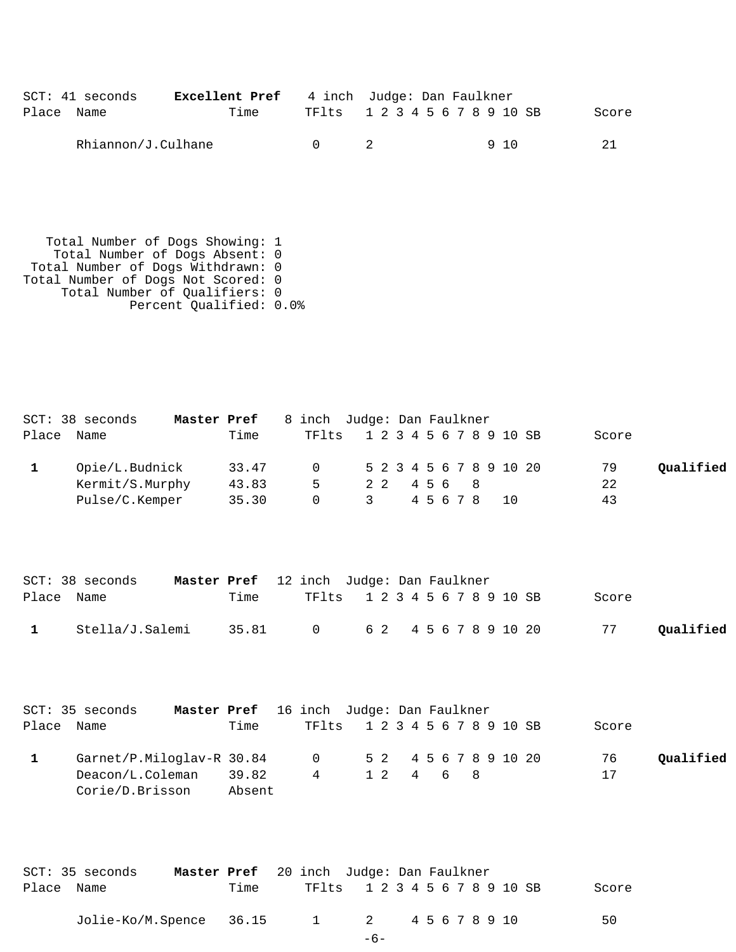|            | SCT: 41 seconds    | <b>Excellent Pref</b> 4 inch Judge: Dan Faulkner |                               |  |  |     |       |
|------------|--------------------|--------------------------------------------------|-------------------------------|--|--|-----|-------|
| Place Name |                    | Time                                             | TF1ts 1 2 3 4 5 6 7 8 9 10 SB |  |  |     | Score |
|            | Rhiannon/J.Culhane |                                                  |                               |  |  | 910 | -21   |

 Total Number of Dogs Showing: 1 Total Number of Dogs Absent: 0 Total Number of Dogs Withdrawn: 0 Total Number of Dogs Not Scored: 0 Total Number of Qualifiers: 0 Percent Qualified: 0.0%

|            | SCT: 38 seconds<br>Master Pref |       |        |   | 8 inch Judge: Dan Faulkner       |           |
|------------|--------------------------------|-------|--------|---|----------------------------------|-----------|
| Place Name |                                | Time  | TFlts  |   | 1 2 3 4 5 6 7 8 9 10 SB<br>Score |           |
|            | Opie/L.Budnick                 | 33.47 |        |   | 0 5 2 3 4 5 6 7 8 9 10 20<br>79  | Oualified |
|            | Kermit/S.Murphy                | 43.83 | 5      |   | 22<br>22 456 8                   |           |
|            | Pulse/C.Kemper                 | 35.30 | $\cap$ | 3 | 43<br>45678<br>10                |           |

|            | SCT: 38 seconds |      | Master Pref 12 inch Judge: Dan Faulkner |                               |  |  |       |           |
|------------|-----------------|------|-----------------------------------------|-------------------------------|--|--|-------|-----------|
| Place Name |                 | Time |                                         | TF1ts 1 2 3 4 5 6 7 8 9 10 SB |  |  | Score |           |
|            | Stella/J.Salemi |      | 35.81 0 62 4567891020                   |                               |  |  | 77    | Qualified |

|       | <b>Master Pref</b> 16 inch Judge: Dan Faulkner<br>SCT: 35 seconds |        |                               |  |          |  |  |  |  |       |           |
|-------|-------------------------------------------------------------------|--------|-------------------------------|--|----------|--|--|--|--|-------|-----------|
| Place | Name                                                              | Time   | TF1ts 1 2 3 4 5 6 7 8 9 10 SB |  |          |  |  |  |  | Score |           |
|       | Garnet/P.Miloglav-R 30.84                                         |        | 0 52 4567891020               |  |          |  |  |  |  | 76    | Oualified |
|       | Deacon/L.Coleman                                                  | 39.82  | 4                             |  | 12 4 6 8 |  |  |  |  | 17    |           |
|       | Corie/D.Brisson                                                   | Absent |                               |  |          |  |  |  |  |       |           |

|            | SCT: 35 seconds         | Master Pref 20 inch Judge: Dan Faulkner |      |                               |       |  |  |  |  |  |       |
|------------|-------------------------|-----------------------------------------|------|-------------------------------|-------|--|--|--|--|--|-------|
| Place Name |                         |                                         | Time | TF1ts 1 2 3 4 5 6 7 8 9 10 SB |       |  |  |  |  |  | Score |
|            | Jolie-Ko/M.Spence 36.15 |                                         |      | 1 2 45678910                  |       |  |  |  |  |  | 50    |
|            |                         |                                         |      |                               | $-6-$ |  |  |  |  |  |       |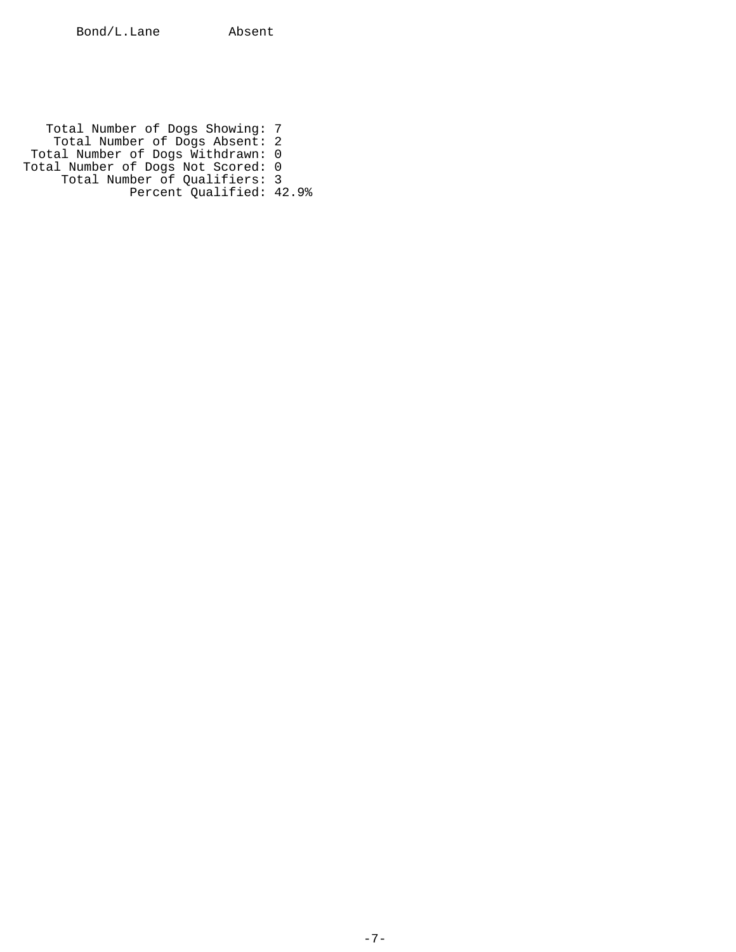Total Number of Dogs Showing: 7 Total Number of Dogs Absent: 2 Total Number of Dogs Withdrawn: 0 Total Number of Dogs Not Scored: 0 Total Number of Qualifiers: 3 Percent Qualified: 42.9%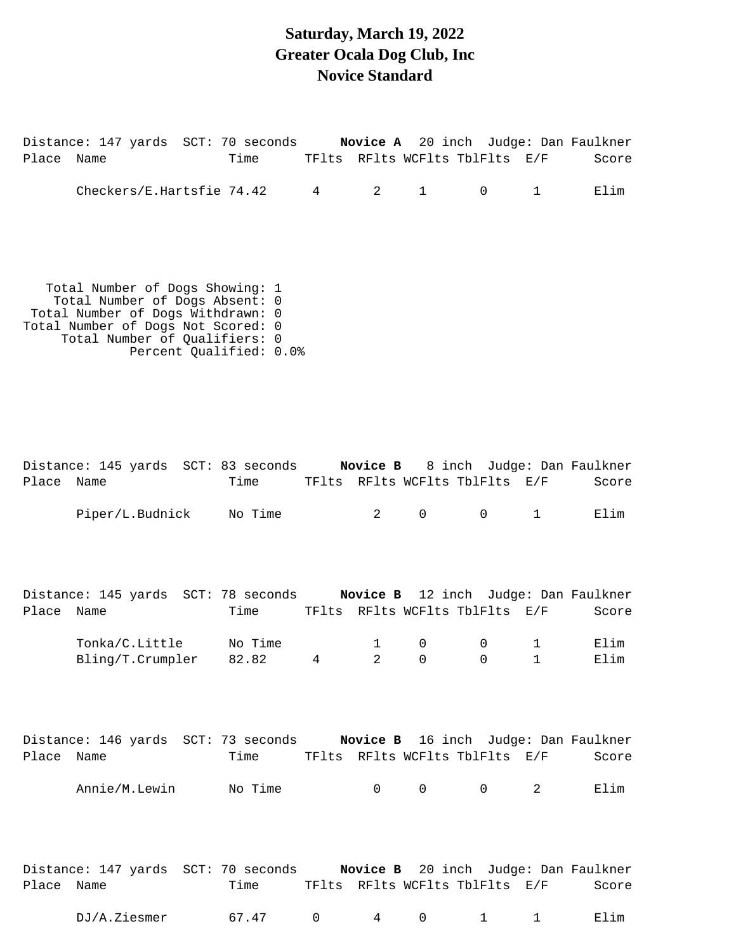#### **Saturday, March 19, 2022 Greater Ocala Dog Club, Inc Novice Standard**

Distance: 147 yards SCT: 70 seconds **Novice A** 20 inch Judge: Dan Faulkner Place Name Time TFlts RFlts WCFlts TblFlts E/F Score Checkers/E.Hartsfie 74.42 4 2 1 0 1 Elim Total Number of Dogs Showing: 1 Total Number of Dogs Absent: 0 Total Number of Dogs Withdrawn: 0 Total Number of Dogs Not Scored: 0 Total Number of Qualifiers: 0 Percent Qualified: 0.0% Distance: 145 yards SCT: 83 seconds **Novice B** 8 inch Judge: Dan Faulkner Place Name Time TFlts RFlts WCFlts TblFlts E/F Score Piper/L.Budnick No Time  $2$  0 0 1 Elim Distance: 145 yards SCT: 78 seconds **Novice B** 12 inch Judge: Dan Faulkner Place Name Time TFlts RFlts WCFlts TblFlts E/F Score Tonka/C.Little No Time 1 0 0 1 Elim Bling/T.Crumpler 82.82 4 2 0 0 1 Elim Distance: 146 yards SCT: 73 seconds **Novice B** 16 inch Judge: Dan Faulkner Place Name Time TFlts RFlts WCFlts TblFlts E/F Score Annie/M.Lewin No Time 0 0 0 0 2 Elim

Distance: 147 yards SCT: 70 seconds **Novice B** 20 inch Judge: Dan Faulkner Place Name Time TFlts RFlts WCFlts TblFlts E/F Score DJ/A.Ziesmer 67.47 0 4 0 1 1 Elim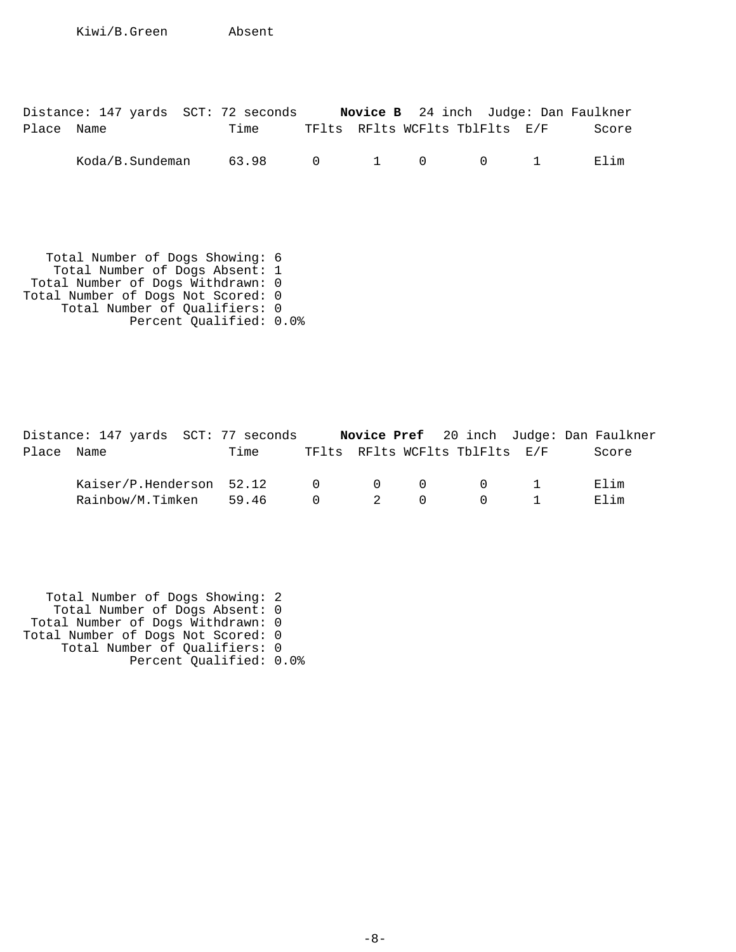Kiwi/B.Green Absent

|            |  | Distance: 147 yards SCT: 72 seconds |                                |  |  | <b>Novice B</b> 24 inch Judge: Dan Faulkner |
|------------|--|-------------------------------------|--------------------------------|--|--|---------------------------------------------|
| Place Name |  | Time                                | TFlts RFlts WCFlts TblFlts E/F |  |  | Score                                       |
|            |  | Koda/B.Sundeman 63.98 0 1 0 0 1     |                                |  |  | Flim                                        |

 Total Number of Dogs Showing: 6 Total Number of Dogs Absent: 1 Total Number of Dogs Withdrawn: 0 Total Number of Dogs Not Scored: 0 Total Number of Qualifiers: 0 Percent Qualified: 0.0%

|            | Distance: 147 yards SCT: 77 seconds |      |                                        |                                         |                                |            | <b>Novice Pref</b> 20 inch Judge: Dan Faulkner |
|------------|-------------------------------------|------|----------------------------------------|-----------------------------------------|--------------------------------|------------|------------------------------------------------|
| Place Name |                                     | Time |                                        |                                         | TFlts RFlts WCFlts TblFlts E/F |            | Score                                          |
|            | Kaiser/P.Henderson 52.12            |      |                                        | $\begin{matrix} 0 & 0 & 0 \end{matrix}$ |                                | $\Omega$ 1 | Elim                                           |
|            | Rainbow/M.Timken 59.46              |      | $\begin{array}{ccc} 0 & 2 \end{array}$ | $\Omega$                                | ()                             |            | Elim                                           |

 Total Number of Dogs Showing: 2 Total Number of Dogs Absent: 0 Total Number of Dogs Withdrawn: 0 Total Number of Dogs Not Scored: 0 Total Number of Qualifiers: 0 Percent Qualified: 0.0%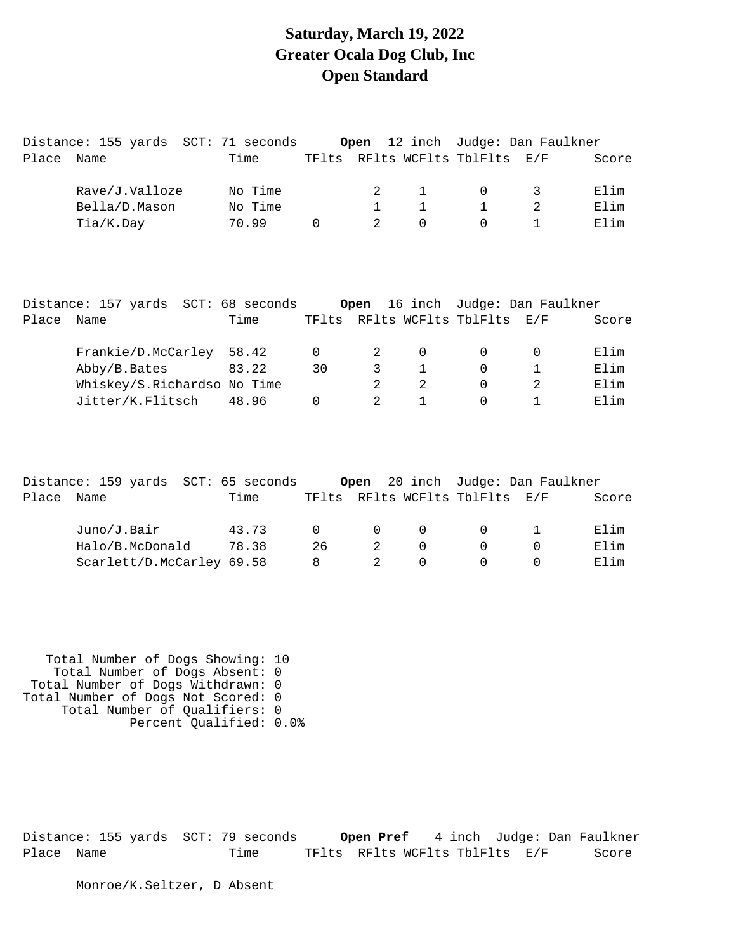### **Saturday, March 19, 2022 Greater Ocala Dog Club, Inc Open Standard**

|       | Distance: 155 yards SCT: 71 seconds Open         |         |          |                |              | 12 inch Judge: Dan Faulkner                                   |                |       |
|-------|--------------------------------------------------|---------|----------|----------------|--------------|---------------------------------------------------------------|----------------|-------|
| Place | Name                                             | Time    |          |                |              | TFlts RFlts WCFlts TblFlts E/F                                |                | Score |
|       | Rave/J.Valloze                                   | No Time |          | 2              | $\mathbf 1$  | $\Omega$                                                      | 3              | Elim  |
|       | Bella/D.Mason                                    | No Time |          | $\mathbf{1}$   | $\mathbf{1}$ | $\mathbf{1}$                                                  | 2              | Elim  |
|       | Tia/K.Day                                        | 70.99   | $\Omega$ | $\overline{a}$ | $\Omega$     | $\Omega$                                                      | $\mathbf{1}$   | Elim  |
| Place | Distance: 157 yards SCT: 68 seconds Open<br>Name | Time    |          |                |              | 16 inch Judge: Dan Faulkner<br>TFlts RFlts WCFlts TblFlts E/F |                | Score |
|       |                                                  |         |          |                |              |                                                               |                |       |
|       | Frankie/D.McCarley 58.42                         |         | $\Omega$ | 2              | $\mathbf 0$  | $\Omega$                                                      | $\Omega$       | Elim  |
|       | Abby/B.Bates                                     | 83.22   | 30       | 3              | $\mathbf 1$  | $\Omega$                                                      | $\mathbf 1$    | Elim  |
|       | Whiskey/S.Richardso No Time                      |         |          | $\overline{2}$ | 2            | $\Omega$                                                      | $\overline{2}$ | Elim  |
|       | Jitter/K.Flitsch                                 | 48.96   | $\Omega$ | $\mathfrak{D}$ | $\mathbf{1}$ | $\Omega$                                                      | $\mathbf{1}$   | Elim  |
|       | Distance: 159 yards SCT: 65 seconds Open         |         |          |                |              | 20 inch Judge: Dan Faulkner                                   |                |       |
| Place | Name                                             | Time    |          |                |              | TFlts RFlts WCFlts TblFlts                                    | E/F            | Score |
|       |                                                  |         |          |                |              |                                                               |                |       |
|       | Juno/J.Bair                                      | 43.73   | $\Omega$ | 0              | $\mathbf 0$  | $\mathbf 0$                                                   | $\mathbf 1$    | Elim  |
|       | Halo/B.McDonald                                  | 78.38   | 26       | 2              | $\Omega$     | $\Omega$                                                      | $\Omega$       | Elim  |
|       | Scarlett/D.McCarley 69.58                        |         | 8        | $\overline{2}$ | $\Omega$     | 0                                                             | $\Omega$       | Elim  |

 Total Number of Dogs Showing: 10 Total Number of Dogs Absent: 0 Total Number of Dogs Withdrawn: 0 Total Number of Dogs Not Scored: 0 Total Number of Qualifiers: 0 Percent Qualified: 0.0%

Distance: 155 yards SCT: 79 seconds **Open Pref** 4 inch Judge: Dan Faulkner Place Name Time TFlts RFlts WCFlts TblFlts E/F Score

Monroe/K.Seltzer, D Absent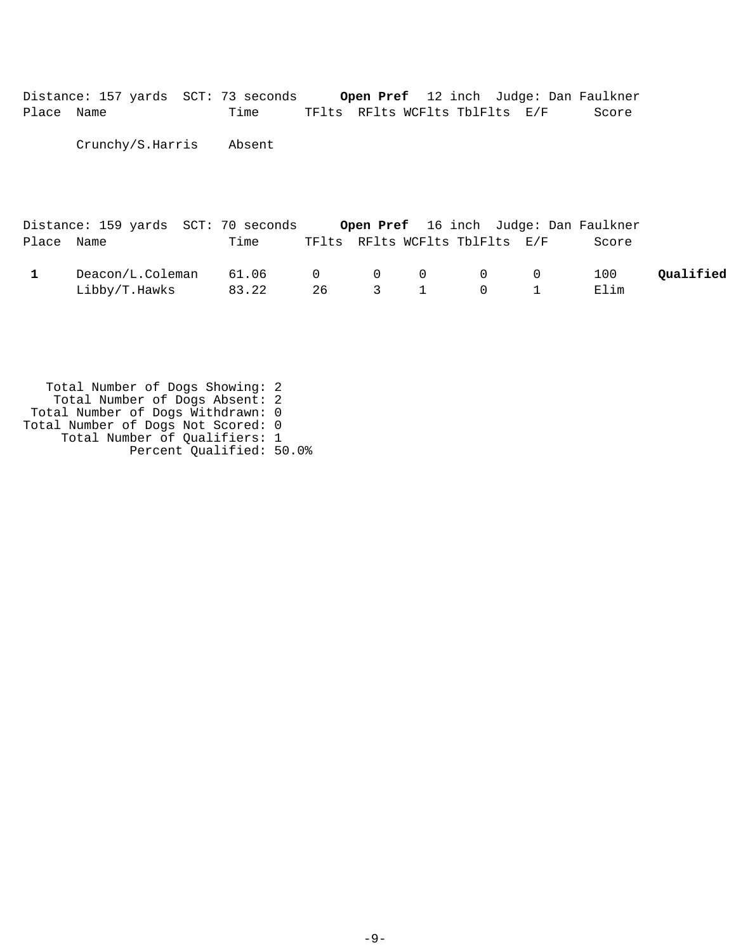Distance: 157 yards SCT: 73 seconds **Open Pref** 12 inch Judge: Dan Faulkner Place Name Time TFlts RFlts WCFlts TblFlts E/F Score

Crunchy/S.Harris Absent

|            | Distance: 159 yards SCT: 70 seconds |       |    |  |                                                 | <b>Open Pref</b> 16 inch Judge: Dan Faulkner |           |
|------------|-------------------------------------|-------|----|--|-------------------------------------------------|----------------------------------------------|-----------|
| Place Name |                                     | Time  |    |  | TFlts RFlts WCFlts TblFlts E/F                  | Score                                        |           |
|            | Deacon/L.Coleman                    | 61.06 |    |  | $\begin{matrix} 0 & 0 & 0 & 0 & 0 \end{matrix}$ | 100                                          | Oualified |
|            | Libby/T.Hawks                       | 83.22 | 26 |  | 3 1 0 1                                         | Elim                                         |           |

 Total Number of Dogs Showing: 2 Total Number of Dogs Absent: 2 Total Number of Dogs Withdrawn: 0 Total Number of Dogs Not Scored: 0 Total Number of Qualifiers: 1 Percent Qualified: 50.0%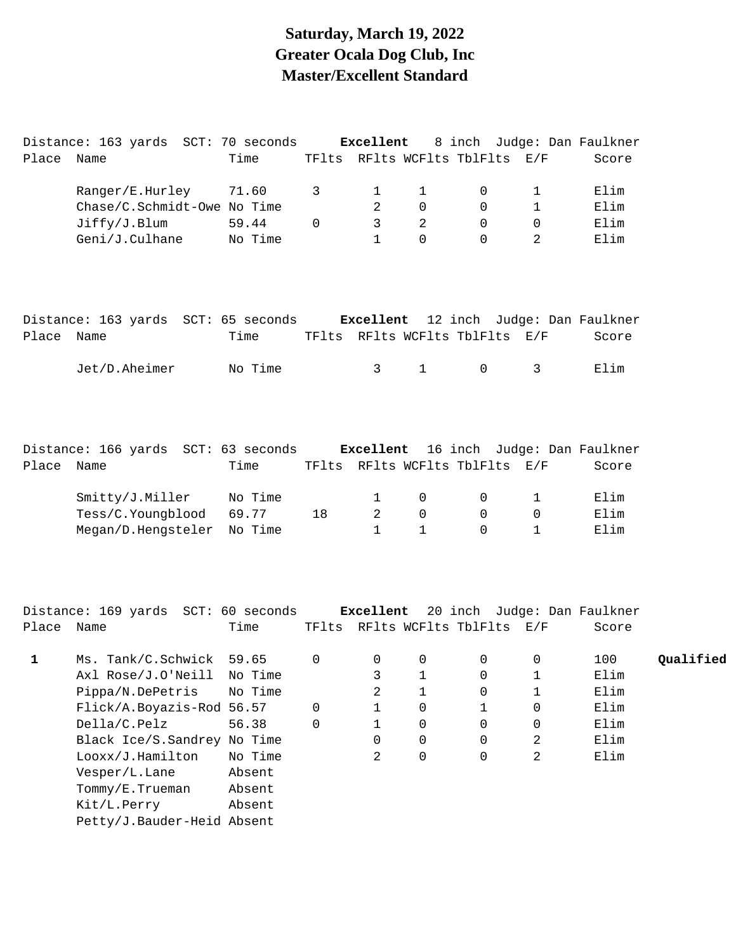# **Saturday, March 19, 2022 Greater Ocala Dog Club, Inc Master/Excellent Standard**

|             | Distance: 163 yards SCT: 70 seconds                                       |         |          | Excellent      |                        |                                |                                        | 8 inch Judge: Dan Faulkner |           |
|-------------|---------------------------------------------------------------------------|---------|----------|----------------|------------------------|--------------------------------|----------------------------------------|----------------------------|-----------|
| Place Name  |                                                                           | Time    |          |                |                        | TFlts RFlts WCFlts TblFlts E/F |                                        | Score                      |           |
|             | Ranger/E.Hurley                                                           | 71.60   | 3        | 1              | 1                      | 0                              | 1                                      | Elim                       |           |
|             | Chase/C.Schmidt-Owe No Time                                               |         |          | 2              | $\mathbf 0$            | $\overline{0}$                 | $\mathbf 1$                            | Elim                       |           |
|             | Jiffry/J.Blum                                                             | 59.44   | $\Omega$ | $\mathsf{3}$   | $\overline{a}$         | $\mathbf 0$                    | 0                                      | Elim                       |           |
|             | Geni/J.Culhane                                                            | No Time |          | $\mathbf{1}$   | $\mathbf 0$            | $\Omega$                       | 2                                      | Elim                       |           |
|             | Distance: 163 yards SCT: 65 seconds Excellent 12 inch Judge: Dan Faulkner |         |          |                |                        |                                |                                        |                            |           |
| Place Name  |                                                                           | Time    |          |                |                        | TFlts RFlts WCFlts TblFlts E/F |                                        | Score                      |           |
|             | Jet/D.Aheimer                                                             | No Time |          | 3              | $1 \quad \blacksquare$ | $\mathsf{O}$                   | $\mathbf{3}$                           | Elim                       |           |
|             |                                                                           |         |          |                |                        |                                |                                        |                            |           |
|             | Distance: 166 yards SCT: 63 seconds Excellent 16 inch Judge: Dan Faulkner |         |          |                |                        |                                |                                        |                            |           |
| Place Name  |                                                                           | Time    |          |                |                        | TFlts RFlts WCFlts TblFlts E/F |                                        | Score                      |           |
|             | Smitty/J.Miller                                                           | No Time |          | $\mathbf{1}$   | 0                      | $\overline{0}$                 | 1                                      | Elim                       |           |
|             | Tess/C.Youngblood                                                         | 69.77   | 18       | $\overline{2}$ | 0                      | $\overline{0}$                 | 0                                      | Elim                       |           |
|             | Megan/D.Hengsteler                                                        | No Time |          | $\mathbf{1}$   | $\mathbf{1}$           | $\Omega$                       | $\mathbf{1}$                           | Elim                       |           |
|             | Distance: 169 yards SCT: 60 seconds Excellent 20 inch Judge: Dan Faulkner |         |          |                |                        |                                |                                        |                            |           |
| Place Name  |                                                                           | Time    |          |                |                        | TFlts RFlts WCFlts TblFlts E/F |                                        | Score                      |           |
|             |                                                                           |         |          |                |                        |                                |                                        |                            |           |
| $\mathbf 1$ | Ms. Tank/C.Schwick 59.65                                                  |         | 0        | 0              | 0                      | 0                              | 0                                      | 100                        | Qualified |
|             | Axl Rose/J.O'Neill No Time                                                |         |          |                | $3 \t 1$               |                                | $\begin{array}{ccc} 0 & 1 \end{array}$ | Elim                       |           |
|             | Pippa/N.DePetris                                                          | No Time |          | 2              | $\mathbf{1}$           | 0                              | 1                                      | Elim                       |           |
|             | Flick/A.Boyazis-Rod 56.57                                                 |         | 0        | $\mathbf{1}$   | 0                      | $\mathbf{1}$                   | 0                                      | Elim                       |           |
|             | Della/C.Pelz                                                              | 56.38   | $\Omega$ | $\mathbf{1}$   | 0                      | $\Omega$                       | 0                                      | Elim                       |           |
|             | Black Ice/S. Sandrey No Time                                              |         |          | $\Omega$       | 0                      | $\Omega$                       | 2                                      | Elim                       |           |
|             | Looxx/J.Hamilton                                                          | No Time |          | 2              | 0                      | $\Omega$                       | 2                                      | Elim                       |           |
|             | Vesper/L.Lane                                                             | Absent  |          |                |                        |                                |                                        |                            |           |
|             | Tommy/E.Trueman                                                           | Absent  |          |                |                        |                                |                                        |                            |           |
|             | Kit/L.Perry                                                               | Absent  |          |                |                        |                                |                                        |                            |           |
|             | Petty/J.Bauder-Heid Absent                                                |         |          |                |                        |                                |                                        |                            |           |
|             |                                                                           |         |          |                |                        |                                |                                        |                            |           |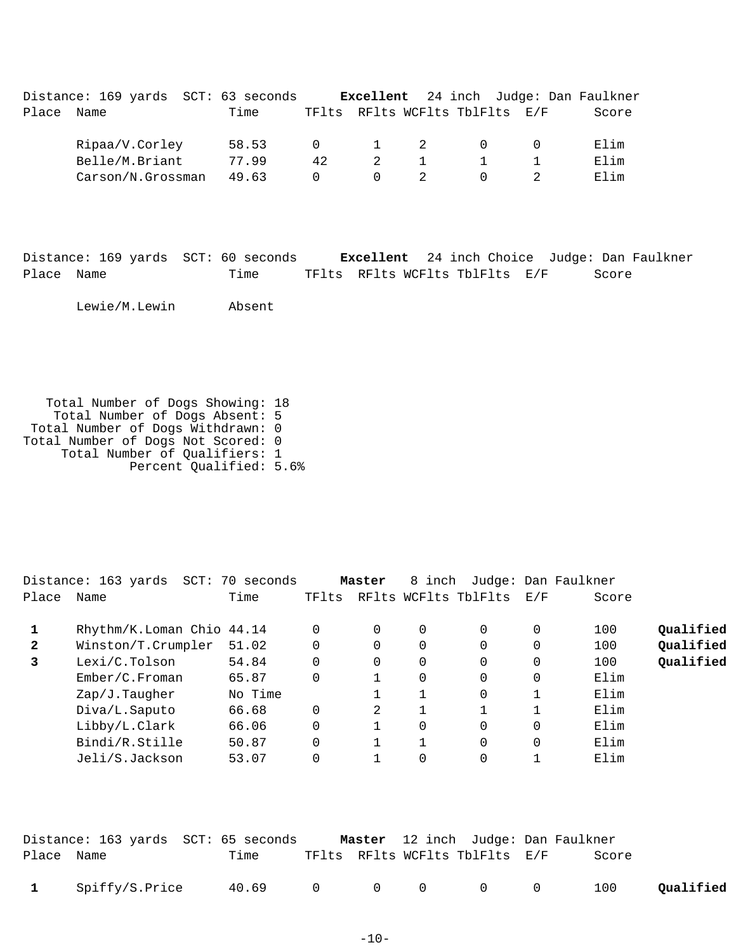|       | Distance: 169 yards SCT: 63 seconds |       |          |                  |   | Excellent 24 inch Judge: Dan Faulkner |       |
|-------|-------------------------------------|-------|----------|------------------|---|---------------------------------------|-------|
| Place | Name                                | Time  |          |                  |   | TFlts RFlts WCFlts TblFlts E/F        | Score |
|       | Ripaa/V.Corley                      | 58.53 | $\Omega$ | $1 \quad \cdots$ | 2 |                                       | Elim  |
|       | Belle/M.Briant                      | 77.99 | 42       | 2                |   |                                       | Elim  |
|       | Carson/N.Grossman                   | 49.63 | $\Omega$ | $\Omega$         |   |                                       | Elim  |

|            | Distance: 169 yards SCT: 60 seconds |                                | <b>Excellent</b> 24 inch Choice Judge: Dan Faulkner |       |  |
|------------|-------------------------------------|--------------------------------|-----------------------------------------------------|-------|--|
| Place Name | Time                                | TFlts RFlts WCFlts TblFlts E/F |                                                     | Score |  |

Lewie/M.Lewin Absent

 Total Number of Dogs Showing: 18 Total Number of Dogs Absent: 5 Total Number of Dogs Withdrawn: 0 Total Number of Dogs Not Scored: 0 Total Number of Qualifiers: 1 Percent Qualified: 5.6%

|              | Distance: 163 yards<br>SCT: | 70<br>seconds |          | Master         | 8 inch   |                      |     | Judge: Dan Faulkner |           |
|--------------|-----------------------------|---------------|----------|----------------|----------|----------------------|-----|---------------------|-----------|
| Place        | Name                        | Time          | TFlts    |                |          | RFlts WCFlts TblFlts | E/F | Score               |           |
|              | Rhythm/K.Loman Chio 44.14   |               | 0        | 0              | 0        | $\Omega$             | 0   | 100                 | Qualified |
| $\mathbf{2}$ | Winston/T.Crumpler          | 51.02         | $\Omega$ | $\Omega$       | 0        | $\Omega$             |     | 100                 | Qualified |
| 3            | Lexi/C.Tolson               | 54.84         | $\Omega$ | 0              | 0        | 0                    | 0   | 100                 | Qualified |
|              | Ember/C.Froman              | 65.87         | 0        |                | 0        | $\Omega$             | 0   | Elim                |           |
|              | Zap/J.Taugher               | No Time       |          |                |          | $\Omega$             |     | Elim                |           |
|              | Diva/L.Saputo               | 66.68         | $\Omega$ | $\mathfrak{D}$ |          |                      |     | Elim                |           |
|              | Libby/L.Clark               | 66.06         | $\Omega$ |                | $\Omega$ | $\Omega$             | 0   | Elim                |           |
|              | Bindi/R.Stille              | 50.87         | $\Omega$ |                |          | $\Omega$             | 0   | Elim                |           |
|              | Jeli/S.Jackson              | 53.07         |          |                | 0        | $\Omega$             |     | Elim                |           |
|              |                             |               |          |                |          |                      |     |                     |           |

|            | Distance: 163 yards SCT: 65 seconds |                 |  | Master 12 inch Judge: Dan Faulkner |       |           |
|------------|-------------------------------------|-----------------|--|------------------------------------|-------|-----------|
| Place Name |                                     | Time            |  | TFlts RFlts WCFlts TblFlts E/F     | Score |           |
|            | 1 Spiffy/S.Price                    | 40.69 0 0 0 0 0 |  |                                    | 100   | Qualified |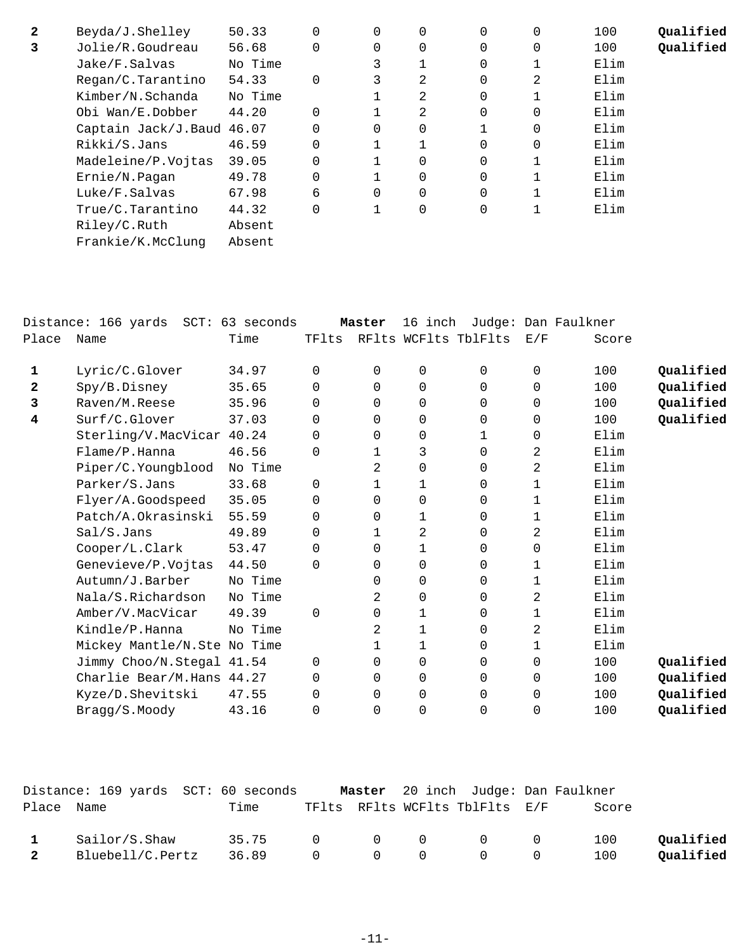| $\mathbf{2}$ | Beyda/J.Shelley           | 50.33   | 0        | 0        | 0           | $\Omega$ | 0            | 100  | Oualified |
|--------------|---------------------------|---------|----------|----------|-------------|----------|--------------|------|-----------|
|              |                           |         |          |          |             |          |              |      |           |
| 3            | Jolie/R.Goudreau          | 56.68   | $\Omega$ | 0        | $\Omega$    | $\Omega$ | $\Omega$     | 100  | Qualified |
|              | Jake/F.Salvas             | No Time |          | 3        |             | 0        |              | Elim |           |
|              | Regan/C.Tarantino         | 54.33   | $\Omega$ | 3        | 2           | $\Omega$ | 2            | Elim |           |
|              | Kimber/N.Schanda          | No Time |          |          | 2           | $\Omega$ |              | Elim |           |
|              | Obi Wan/E.Dobber          | 44.20   | $\Omega$ |          | 2           | 0        | 0            | Elim |           |
|              | Captain Jack/J.Baud 46.07 |         | $\Omega$ | $\Omega$ | $\Omega$    |          | $\Omega$     | Elim |           |
|              | Rikki/S.Jans              | 46.59   | 0        |          |             | 0        | 0            | Elim |           |
|              | Madeleine/P.Vojtas        | 39.05   | $\Omega$ |          | $\Omega$    | $\Omega$ |              | Elim |           |
|              | Ernie/N.Pagan             | 49.78   | $\Omega$ |          | 0           | $\Omega$ |              | Elim |           |
|              | Luke/F.Salvas             | 67.98   | 6        | 0        | $\mathbf 0$ | 0        |              | Elim |           |
|              | True/C.Tarantino          | 44.32   | $\Omega$ |          | $\mathbf 0$ | 0        | $\mathbf{I}$ | Elim |           |
|              | Riley/C.Ruth              | Absent  |          |          |             |          |              |      |           |
|              | Frankie/K.McClung         | Absent  |          |          |             |          |              |      |           |
|              |                           |         |          |          |             |          |              |      |           |

| Name               | Time                           | TFlts                                                                                                                                                                       |               |                         |                  | E/F                                       | Score  |                                   |
|--------------------|--------------------------------|-----------------------------------------------------------------------------------------------------------------------------------------------------------------------------|---------------|-------------------------|------------------|-------------------------------------------|--------|-----------------------------------|
|                    |                                |                                                                                                                                                                             |               |                         |                  |                                           |        |                                   |
|                    |                                |                                                                                                                                                                             |               |                         |                  |                                           |        | Qualified                         |
|                    |                                |                                                                                                                                                                             |               |                         |                  |                                           |        | Qualified                         |
| Raven/M.Reese      | 35.96                          | 0                                                                                                                                                                           | $\Omega$      | 0                       | 0                | 0                                         | 100    | Qualified                         |
| Surf/C.Glover      | 37.03                          | 0                                                                                                                                                                           | $\Omega$      | $\Omega$                | 0                | $\Omega$                                  | 100    | Qualified                         |
|                    |                                | 0                                                                                                                                                                           | 0             | 0                       |                  | 0                                         | Elim   |                                   |
| Flame/P.Hanna      | 46.56                          | 0                                                                                                                                                                           | 1             | 3                       | 0                | 2                                         | Elim   |                                   |
| Piper/C.Youngblood | No Time                        |                                                                                                                                                                             | 2             | 0                       | 0                | 2                                         | Elim   |                                   |
| Parker/S.Jans      | 33.68                          | $\Omega$                                                                                                                                                                    | 1             | 1                       | 0                | 1                                         | Elim   |                                   |
| Flyer/A.Goodspeed  | 35.05                          | 0                                                                                                                                                                           | $\Omega$      | 0                       | 0                | 1                                         | Elim   |                                   |
| Patch/A.Okrasinski | 55.59                          | $\Omega$                                                                                                                                                                    | $\Omega$      | 1                       | 0                | 1                                         | Elim   |                                   |
| Sal/S.Jans         | 49.89                          | 0                                                                                                                                                                           | 1             | 2                       | 0                | 2                                         | Elim   |                                   |
| Cooper/L.Clark     | 53.47                          | $\Omega$                                                                                                                                                                    | $\Omega$      | $\mathbf{1}$            | 0                | 0                                         | Elim   |                                   |
| Genevieve/P.Vojtas | 44.50                          | 0                                                                                                                                                                           | $\Omega$      | 0                       | 0                | 1                                         | Elim   |                                   |
| Autumn/J.Barber    | No Time                        |                                                                                                                                                                             | $\Omega$      | $\mathbf 0$             | 0                | $\mathbf 1$                               | Elim   |                                   |
| Nala/S.Richardson  | No Time                        |                                                                                                                                                                             | 2             | 0                       | 0                | 2                                         | Elim   |                                   |
| Amber/V.MacVicar   | 49.39                          | $\Omega$                                                                                                                                                                    | 0             | $\mathbf 1$             | 0                | $\mathbf 1$                               | Elim   |                                   |
| Kindle/P.Hanna     | No Time                        |                                                                                                                                                                             | 2             | $\mathbf{1}$            | 0                | 2                                         | Elim   |                                   |
|                    |                                |                                                                                                                                                                             | 1             | 1                       | 0                | 1                                         | Elim   |                                   |
|                    |                                | 0                                                                                                                                                                           | 0             | 0                       | 0                | 0                                         | 100    | Qualified                         |
|                    |                                | 0                                                                                                                                                                           | 0             | $\mathbf 0$             | 0                | 0                                         | 100    | Qualified                         |
| Kyze/D.Shevitski   | 47.55                          | 0                                                                                                                                                                           | 0             | $\mathbf 0$             | 0                | 0                                         | 100    | Qualified                         |
| Bragg/S.Moody      | 43.16                          | 0                                                                                                                                                                           | 0             | 0                       | 0                | 0                                         | 100    | Qualified                         |
|                    | Lyric/C.Glover<br>Spy/B.Disney | Distance: 166 yards SCT: 63 seconds<br>34.97<br>35.65<br>Sterling/V.MacVicar 40.24<br>Mickey Mantle/N.Ste No Time<br>Jimmy Choo/N.Stegal 41.54<br>Charlie Bear/M.Hans 44.27 | $\Omega$<br>0 | Master<br>0<br>$\Omega$ | 0<br>$\mathbf 0$ | 16 inch<br>RFlts WCFlts TblFlts<br>0<br>0 | 0<br>0 | Judge: Dan Faulkner<br>100<br>100 |

|              | Distance: 169 yards SCT: 60 seconds |                 |  |                                | <b>Master</b> 20 inch Judge: Dan Faulkner |           |
|--------------|-------------------------------------|-----------------|--|--------------------------------|-------------------------------------------|-----------|
| Place Name   |                                     | Time            |  | TFlts RFlts WCFlts TblFlts E/F | Score                                     |           |
| $\mathbf{1}$ | Sailor/S.Shaw                       | 35.75 0 0 0 0 0 |  |                                | 100                                       | Oualified |
| 2            | Bluebell/C.Pertz                    | 36.89 0 0 0 0 0 |  |                                | 100                                       | Qualified |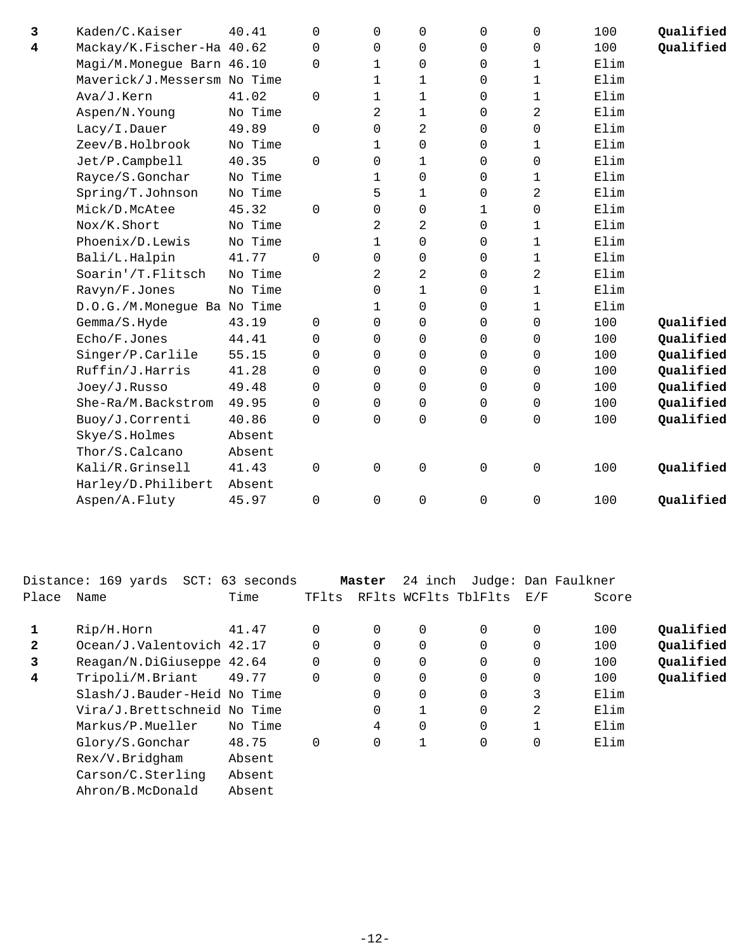| 3                       | Kaden/C.Kaiser              | 40.41   | $\Omega$    | 0              | 0              | $\Omega$    | 0           | 100  | Qualified |
|-------------------------|-----------------------------|---------|-------------|----------------|----------------|-------------|-------------|------|-----------|
| $\overline{\mathbf{4}}$ | Mackay/K.Fischer-Ha 40.62   |         | 0           | 0              | $\mathbf 0$    | $\mathbf 0$ | 0           | 100  | Qualified |
|                         | Magi/M.Monegue Barn 46.10   |         | $\Omega$    | 1              | 0              | 0           | 1           | Elim |           |
|                         | Maverick/J.Messersm No Time |         |             | $\mathbf{1}$   | $\mathbf 1$    | $\Omega$    | 1           | Elim |           |
|                         | Ava/J.Kern                  | 41.02   | $\mathbf 0$ | 1              | 1              | $\mathbf 0$ | 1           | Elim |           |
|                         | Aspen/N.Young               | No Time |             | $\overline{2}$ | $\mathbf{1}$   | 0           | 2           | Elim |           |
|                         | Lacy/I.Dauer                | 49.89   | $\Omega$    | 0              | $\overline{2}$ | $\Omega$    | 0           | Elim |           |
|                         | Zeev/B.Holbrook             | No Time |             | $\mathbf{1}$   | 0              | 0           | 1           | Elim |           |
|                         | Jet/P.Campbell              | 40.35   | $\Omega$    | 0              | $\mathbf{1}$   | $\Omega$    | $\mathbf 0$ | Elim |           |
|                         | Rayce/S.Gonchar             | No Time |             | 1              | $\mathbf 0$    | 0           | $\mathbf 1$ | Elim |           |
|                         | Spring/T.Johnson            | No Time |             | 5              | $\mathbf{1}$   | $\Omega$    | 2           | Elim |           |
|                         | Mick/D.McAtee               | 45.32   | $\Omega$    | $\Omega$       | $\mathbf 0$    | 1           | $\mathbf 0$ | Elim |           |
|                         | Nox/K.Short                 | No Time |             | 2              | $\overline{a}$ | $\Omega$    | 1           | Elim |           |
|                         | Phoenix/D.Lewis             | No Time |             | $\mathbf{1}$   | $\mathbf 0$    | $\Omega$    | 1           | Elim |           |
|                         | Bali/L.Halpin               | 41.77   | 0           | 0              | $\mathbf 0$    | $\mathbf 0$ | 1           | Elim |           |
|                         | Soarin'/T.Flitsch           | No Time |             | 2              | $\overline{a}$ | 0           | 2           | Elim |           |
|                         | Ravyn/F.Jones               | No Time |             | 0              | $\mathbf 1$    | $\Omega$    | $\mathbf 1$ | Elim |           |
|                         | D.O.G./M.Monegue Ba No Time |         |             | 1              | 0              | $\mathbf 0$ | 1           | Elim |           |
|                         | Gemma/S.Hyde                | 43.19   | $\mathbf 0$ | 0              | $\mathbf 0$    | $\mathbf 0$ | $\mathbf 0$ | 100  | Qualified |
|                         | Echo/F.Jones                | 44.41   | $\Omega$    | 0              | $\mathbf 0$    | $\Omega$    | 0           | 100  | Qualified |
|                         | Singer/P.Carlile            | 55.15   | $\Omega$    | 0              | 0              | 0           | $\mathbf 0$ | 100  | Qualified |
|                         | Ruffin/J.Harris             | 41.28   | $\Omega$    | 0              | $\mathbf 0$    | $\Omega$    | 0           | 100  | Qualified |
|                         | Joey/J.Russo                | 49.48   | 0           | 0              | $\mathbf 0$    | 0           | 0           | 100  | Qualified |
|                         | She-Ra/M.Backstrom          | 49.95   | $\Omega$    | 0              | $\mathbf 0$    | $\Omega$    | 0           | 100  | Qualified |
|                         | Buoy/J.Correnti             | 40.86   | $\Omega$    | 0              | $\mathbf 0$    | $\Omega$    | 0           | 100  | Qualified |
|                         | Skye/S.Holmes               | Absent  |             |                |                |             |             |      |           |
|                         | Thor/S.Calcano              | Absent  |             |                |                |             |             |      |           |
|                         | Kali/R.Grinsell             | 41.43   | $\Omega$    | $\Omega$       | $\mathbf 0$    | $\Omega$    | 0           | 100  | Qualified |
|                         | Harley/D.Philibert          | Absent  |             |                |                |             |             |      |           |
|                         | Aspen/A.Fluty               | 45.97   | $\Omega$    | $\Omega$       | $\mathbf 0$    | $\Omega$    | $\mathbf 0$ | 100  | Qualified |
|                         |                             |         |             |                |                |             |             |      |           |

|              | Distance: 169 yards  SCT: 63 seconds |         |          | Master   | 24 inch  |                      |     | Judge: Dan Faulkner |           |
|--------------|--------------------------------------|---------|----------|----------|----------|----------------------|-----|---------------------|-----------|
| Place        | Name                                 | Time    | TFlts    |          |          | RFlts WCFlts TblFlts | E/F | Score               |           |
|              | Rip/H.Horn                           | 41.47   |          | 0        | 0        | 0                    | 0   | 100                 | Qualified |
| $\mathbf{2}$ | Ocean/J.Valentovich 42.17            |         | $\Omega$ | $\Omega$ | 0        | $\Omega$             | 0   | 100                 | Qualified |
| 3            | Reagan/N.DiGiuseppe 42.64            |         | $\Omega$ | $\Omega$ | 0        | $\Omega$             | 0   | 100                 | Qualified |
| 4            | Tripoli/M.Briant                     | 49.77   | $\Omega$ | 0        | 0        | 0                    | 0   | 100                 | Qualified |
|              | Slash/J.Bauder-Heid No Time          |         |          | $\Omega$ | 0        | $\Omega$             | 3   | Elim                |           |
|              | Vira/J.Brettschneid No Time          |         |          | $\Omega$ |          | $\Omega$             | 2   | Elim                |           |
|              | Markus/P.Mueller                     | No Time |          | 4        | $\Omega$ | 0                    |     | Elim                |           |
|              | Glory/S.Gonchar                      | 48.75   | $\Omega$ | $\Omega$ |          | 0                    | 0   | Elim                |           |
|              | Rex/V.Bridgham                       | Absent  |          |          |          |                      |     |                     |           |
|              | Carson/C.Sterling                    | Absent  |          |          |          |                      |     |                     |           |
|              | Ahron/B.McDonald                     | Absent  |          |          |          |                      |     |                     |           |
|              |                                      |         |          |          |          |                      |     |                     |           |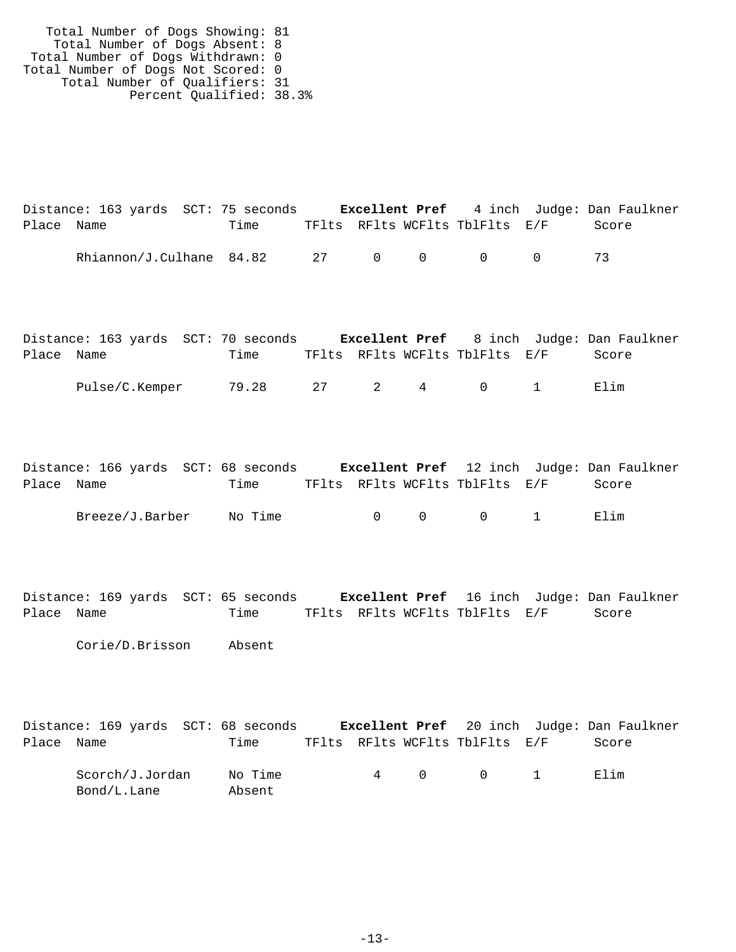Total Number of Dogs Showing: 81 Total Number of Dogs Absent: 8 Total Number of Dogs Withdrawn: 0 Total Number of Dogs Not Scored: 0 Total Number of Qualifiers: 31 Percent Qualified: 38.3%

|            | Distance: 163 yards SCT: 75 seconds |      |  |                                | <b>Excellent Pref</b> 4 inch Judge: Dan Faulkner |
|------------|-------------------------------------|------|--|--------------------------------|--------------------------------------------------|
| Place Name |                                     | Time |  | TFlts RFlts WCFlts TblFlts E/F | Score                                            |
|            |                                     |      |  |                                |                                                  |

|            | Distance: 163 yards SCT: 70 seconds |              |  |                                          | <b>Excellent Pref</b> 8 inch Judge: Dan Faulkner |  |
|------------|-------------------------------------|--------------|--|------------------------------------------|--------------------------------------------------|--|
| Place Name |                                     | Time         |  | TFlts RFlts WCFlts TblFlts E/F           | Score                                            |  |
|            | Pulse/C.Kemper                      | 79.28 27 2 4 |  | $\begin{array}{ccc}\n0 & 1\n\end{array}$ | Flim                                             |  |

|            |                 | Distance: 166 yards SCT: 68 seconds |                                |                                         | <b>Excellent Pref</b> 12 inch Judge: Dan Faulkner |
|------------|-----------------|-------------------------------------|--------------------------------|-----------------------------------------|---------------------------------------------------|
| Place Name |                 | Time                                | TFlts RFlts WCFlts TblFlts E/F |                                         | Score                                             |
|            | Breeze/J.Barber | No Time                             |                                | $\begin{matrix} 0 & 0 & 1 \end{matrix}$ | Elim                                              |

Distance: 169 yards SCT: 65 seconds **Excellent Pref** 16 inch Judge: Dan Faulkner Place Name Time TFlts RFlts WCFlts TblFlts E/F Score

Corie/D.Brisson Absent

|            | Distance: 169 yards SCT: 68 seconds |                   |  |                                | <b>Excellent Pref</b> 20 inch Judge: Dan Faulkner |
|------------|-------------------------------------|-------------------|--|--------------------------------|---------------------------------------------------|
| Place Name |                                     | Time              |  | TFlts RFlts WCFlts TblFlts E/F | Score                                             |
|            | Scorch/J.Jordan<br>Bond/L.Lane      | No Time<br>Absent |  | 4 0 0 1                        | Flim                                              |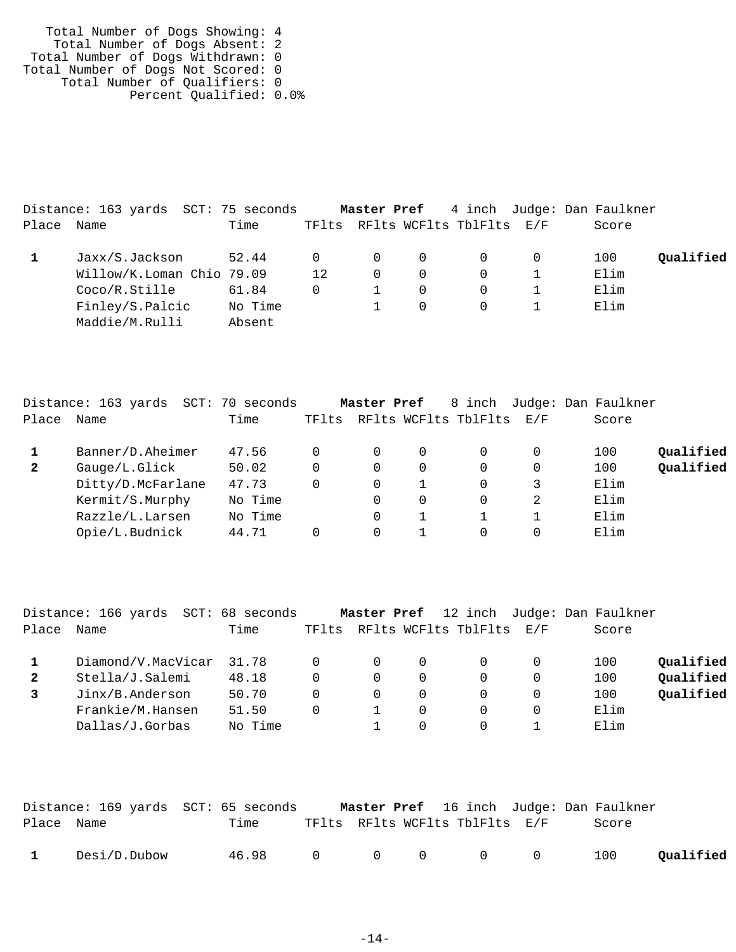| Total Number of Dogs Showing: 4    |  |
|------------------------------------|--|
| Total Number of Dogs Absent: 2     |  |
| Total Number of Dogs Withdrawn: 0  |  |
| Total Number of Dogs Not Scored: 0 |  |
| Total Number of Qualifiers: 0      |  |
| Percent Qualified: 0.0%            |  |

|       | Distance: 163 yards SCT: 75 seconds |         |          |          |          |                                | <b>Master Pref</b> 4 inch Judge: Dan Faulkner |           |
|-------|-------------------------------------|---------|----------|----------|----------|--------------------------------|-----------------------------------------------|-----------|
| Place | Name                                | Time    |          |          |          | TFlts RFlts WCFlts TblFlts E/F | Score                                         |           |
|       | Jaxx/S.Jackson                      | 52.44   | $\Omega$ | $\Omega$ | $\Omega$ | $\cup$                         | 100                                           | Qualified |
|       | Willow/K.Loman Chio 79.09           |         | 12       | $\Omega$ | $\Omega$ |                                | Elim                                          |           |
|       | Coco/R.Stille                       | 61.84   | 0        |          | $\Omega$ |                                | Elim                                          |           |
|       | Finley/S.Palcic                     | No Time |          |          | $\Omega$ | $\Omega$                       | Elim                                          |           |
|       | Maddie/M.Rulli                      | Absent  |          |          |          |                                |                                               |           |

|              | Distance: 163 yards<br>SCT: | 70 seconds |          | Master Pref |   | 8 inch                   |   | Judge: Dan Faulkner |           |
|--------------|-----------------------------|------------|----------|-------------|---|--------------------------|---|---------------------|-----------|
| Place        | Name                        | Time       | TFlts    |             |   | RFlts WCFlts TblFlts E/F |   | Score               |           |
|              | Banner/D.Aheimer            | 47.56      |          | 0           | 0 | 0                        |   | 100                 | Qualified |
| $\mathbf{2}$ | Gauge/L.Glick               | 50.02      | $\Omega$ | 0           | 0 | $\Omega$                 | 0 | 100                 | Qualified |
|              | Ditty/D.McFarlane           | 47.73      | $\Omega$ | $\Omega$    |   | 0                        | 3 | Elim                |           |
|              | Kermit/S.Murphy             | No Time    |          | $\Omega$    | 0 | 0                        | 2 | Elim                |           |
|              | Razzle/L.Larsen             | No Time    |          | $\Omega$    |   |                          |   | Elim                |           |
|              | Opie/L.Budnick              | 44.71      |          | $\Omega$    |   | 0                        |   | Elim                |           |
|              |                             |            |          |             |   |                          |   |                     |           |

|              | Distance: 166 yards<br>SCT: | 68 seconds |       | Master Pref |          |                          |   | 12 inch Judge: Dan Faulkner |           |
|--------------|-----------------------------|------------|-------|-------------|----------|--------------------------|---|-----------------------------|-----------|
| Place        | Name                        | Time       | TFlts |             |          | RFlts WCFlts TblFlts E/F |   | Score                       |           |
|              | Diamond/V.MacVicar          | 31.78      | 0     | $\Omega$    | $\Omega$ |                          | 0 | 100                         | Oualified |
| $\mathbf{2}$ | Stella/J.Salemi             | 48.18      | 0     | $\Omega$    | 0        |                          | 0 | 100                         | Oualified |
|              | Jinx/B.Anderson             | 50.70      | 0     | $\Omega$    | 0        |                          | 0 | 100                         | Qualified |
|              | Frankie/M.Hansen            | 51.50      | 0     |             | 0        |                          |   | Elim                        |           |
|              | Dallas/J.Gorbas             | No Time    |       |             | 0        |                          |   | Elim                        |           |

|              |              | Distance: 169 yards  SCT: 65 seconds |  |                                |  | <b>Master Pref</b> 16 inch Judge: Dan Faulkner |           |
|--------------|--------------|--------------------------------------|--|--------------------------------|--|------------------------------------------------|-----------|
| Place Name   |              | Time                                 |  | TFlts RFlts WCFlts TblFlts E/F |  | Score                                          |           |
| $\mathbf{1}$ | Desi/D.Dubow | 46.98 0 0 0 0 0                      |  |                                |  | 100                                            | Qualified |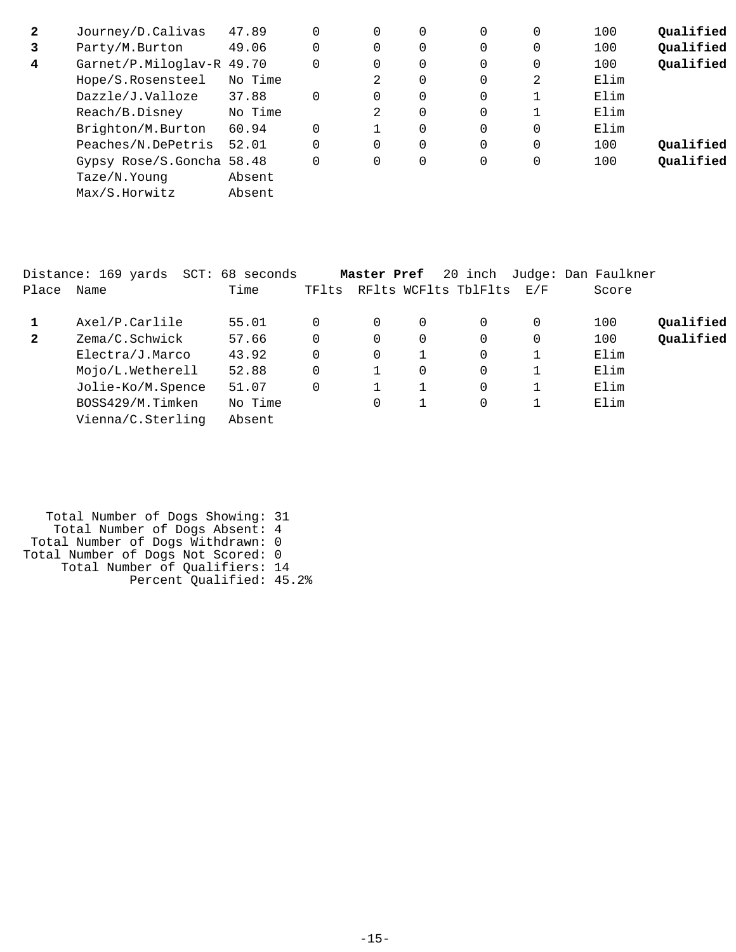| $\mathbf{2}$ | Journey/D.Calivas         | 47.89   | 0        | 0        | 0 | 0           | 100  | Qualified |
|--------------|---------------------------|---------|----------|----------|---|-------------|------|-----------|
| 3            | Party/M.Burton            | 49.06   | 0        | 0        | 0 | 0           | 100  | Qualified |
| 4            | Garnet/P.Miloglav-R 49.70 |         | $\Omega$ | 0        | 0 | 0           | 100  | Qualified |
|              | Hope/S.Rosensteel         | No Time | 2        | 0        | 0 | 2           | Elim |           |
|              | Dazzle/J.Valloze          | 37.88   | 0        | 0        | 0 |             | Elim |           |
|              | Reach/B.Disney            | No Time | 2        | 0        | 0 |             | Elim |           |
|              | Brighton/M.Burton         | 60.94   |          | $\Omega$ | 0 | 0           | Elim |           |
|              | Peaches/N.DePetris        | 52.01   | 0        | 0        | 0 | $\mathbf 0$ | 100  | Qualified |
|              | Gypsy Rose/S.Goncha 58.48 |         | $\Omega$ | 0        | 0 | 0           | 100  | Qualified |
|              | Taze/N.Young              | Absent  |          |          |   |             |      |           |
|              | Max/S.Horwitz             | Absent  |          |          |   |             |      |           |

| Place        | Distance: 169 yards<br>Name | SCT: 68 seconds<br>Time | TFlts    | Master Pref |   | 20 inch<br>RFlts WCFlts TblFlts | E/F      | Judge: Dan Faulkner<br>Score |           |
|--------------|-----------------------------|-------------------------|----------|-------------|---|---------------------------------|----------|------------------------------|-----------|
| 1            | Axel/P.Carlile              | 55.01                   | $\Omega$ | 0           | 0 | 0                               | $\Omega$ | 100                          | Qualified |
| $\mathbf{2}$ | Zema/C.Schwick              | 57.66                   | $\Omega$ | 0           | 0 | 0                               | $\Omega$ | 100                          | Qualified |
|              | Electra/J.Marco             | 43.92                   | $\Omega$ | 0           |   | $\mathbf 0$                     |          | Elim                         |           |
|              | Mojo/L.Wetherell            | 52.88                   | $\Omega$ |             | 0 | $\Omega$                        |          | Elim                         |           |
|              | Jolie-Ko/M.Spence           | 51.07                   | 0        |             |   | $\mathbf 0$                     |          | Elim                         |           |
|              | BOSS429/M.Timken            | No Time                 |          | $\Omega$    |   | $\Omega$                        |          | Elim                         |           |
|              | Vienna/C.Sterling           | Absent                  |          |             |   |                                 |          |                              |           |

| Total Number of Dogs Showing: 31   |  |
|------------------------------------|--|
| Total Number of Dogs Absent: 4     |  |
| Total Number of Dogs Withdrawn: 0  |  |
| Total Number of Dogs Not Scored: 0 |  |
| Total Number of Qualifiers: 14     |  |
| Percent Qualified: 45.2%           |  |
|                                    |  |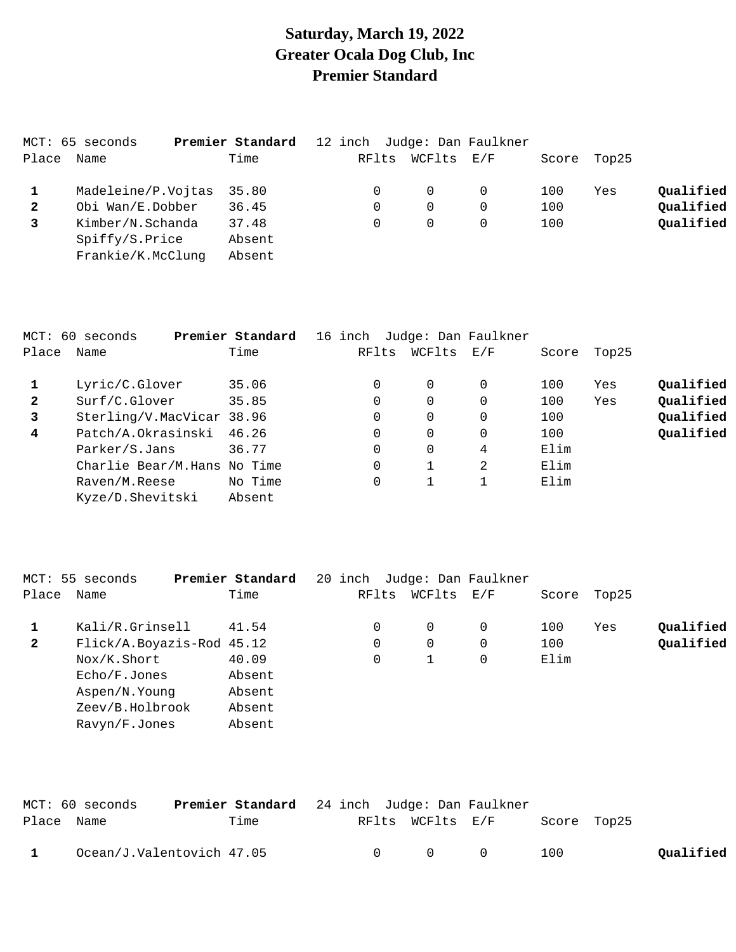## **Saturday, March 19, 2022 Greater Ocala Dog Club, Inc Premier Standard**

|              | MCT: 65 seconds    | Premier Standard |       |          | 12 inch Judge: Dan Faulkner |     |             |           |
|--------------|--------------------|------------------|-------|----------|-----------------------------|-----|-------------|-----------|
| Place        | Name               | Time             | RFlts | WCFlts   | E/F                         |     | Score Top25 |           |
|              | Madeleine/P.Vojtas | 35.80            |       | $\Omega$ | $\Omega$                    | 100 | Yes         | Qualified |
| $\mathbf{2}$ | Obi Wan/E.Dobber   | 36.45            |       | $\Omega$ | $\Omega$                    | 100 |             | Qualified |
|              | Kimber/N.Schanda   | 37.48            |       | $\Omega$ |                             | 100 |             | Qualified |
|              | Spiffy/S.Price     | Absent           |       |          |                             |     |             |           |
|              | Frankie/K.McClung  | Absent           |       |          |                             |     |             |           |

|              | MCT: 60 seconds             | Premier Standard | 16 inch |       |        | Judge: Dan Faulkner                                       |       |       |           |
|--------------|-----------------------------|------------------|---------|-------|--------|-----------------------------------------------------------|-------|-------|-----------|
| Place        | Name                        | Time             |         | RFlts | WCFlts | $\mathop{\rm E{}}\nolimits$ / $\mathop{\rm F{}}\nolimits$ | Score | Top25 |           |
|              | Lyric/C.Glover              | 35.06            |         |       | 0      | $\Omega$                                                  | 100   | Yes   | Qualified |
| $\mathbf{2}$ | Surf/C.Glover               | 35.85            |         |       | 0      | 0                                                         | 100   | Yes   | Qualified |
| 3            | Sterling/V.MacVicar 38.96   |                  |         | 0     | 0      | $\Omega$                                                  | 100   |       | Qualified |
| 4            | Patch/A.Okrasinski          | 46.26            |         | 0     | 0      | 0                                                         | 100   |       | Qualified |
|              | Parker/S.Jans               | 36.77            |         | 0     | 0      | 4                                                         | Elim  |       |           |
|              | Charlie Bear/M.Hans No Time |                  |         | 0     |        | 2                                                         | Elim  |       |           |
|              | Raven/M.Reese               | No Time          |         | 0     |        |                                                           | Elim  |       |           |
|              | Kyze/D.Shevitski            | Absent           |         |       |        |                                                           |       |       |           |

|              | MCT: 55 seconds           | Premier Standard | 20 inch |          | Judge: Dan Faulkner                                       |       |       |           |
|--------------|---------------------------|------------------|---------|----------|-----------------------------------------------------------|-------|-------|-----------|
| Place        | Name                      | Time             | RFlts   | WCFlts   | $\mathop{\rm E{}}\nolimits$ / $\mathop{\rm F{}}\nolimits$ | Score | Top25 |           |
|              | Kali/R.Grinsell           | 41.54            | 0       | $\Omega$ | 0                                                         | 100   | Yes   | Qualified |
| $\mathbf{2}$ | Flick/A.Boyazis-Rod 45.12 |                  | 0       | 0        | 0                                                         | 100   |       | Qualified |
|              | Nox/K.Short               | 40.09            | 0       |          | 0                                                         | Elim  |       |           |
|              | Echo/F.Jones              | Absent           |         |          |                                                           |       |       |           |
|              | Aspen/N. Young            | Absent           |         |          |                                                           |       |       |           |
|              | Zeev/B.Holbrook           | Absent           |         |          |                                                           |       |       |           |
|              | Ravyn/F.Jones             | Absent           |         |          |                                                           |       |       |           |
|              |                           |                  |         |          |                                                           |       |       |           |

| Place Name | MCT: 60 seconds           | <b>Premier Standard</b> 24 inch Judge: Dan Faulkner<br>Time |        | RFlts WCFlts E/F |           | Score Top25 |           |
|------------|---------------------------|-------------------------------------------------------------|--------|------------------|-----------|-------------|-----------|
|            | Ocean/J.Valentovich 47.05 |                                                             | $\cap$ | $\cap$           | $\bigcap$ | 100         | Qualified |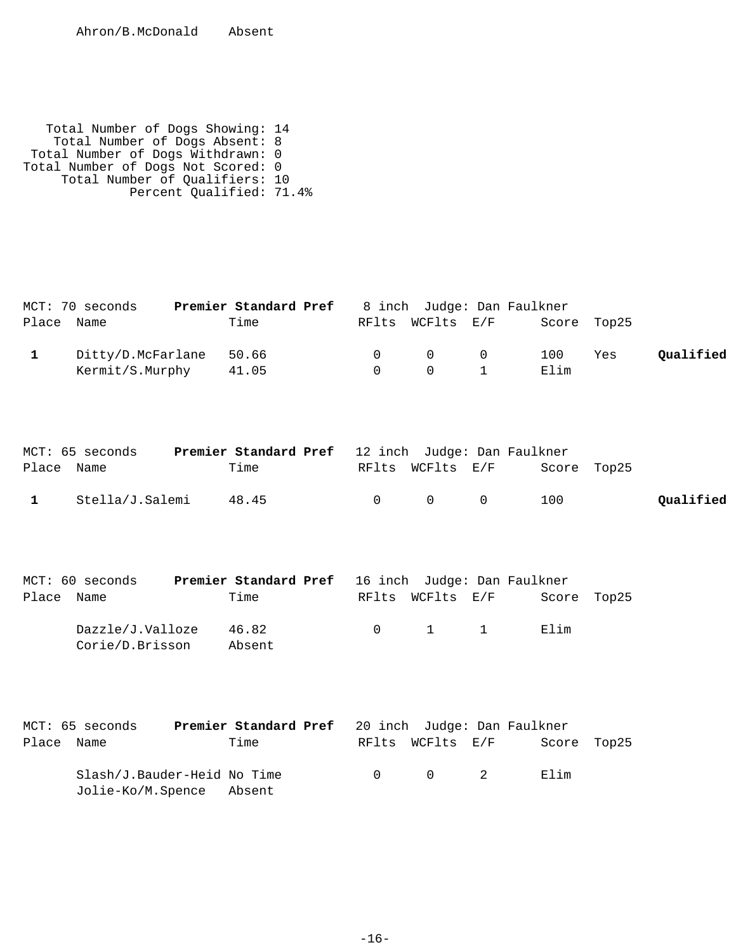Total Number of Dogs Showing: 14 Total Number of Dogs Absent: 8 Total Number of Dogs Withdrawn: 0 Total Number of Dogs Not Scored: 0 Total Number of Qualifiers: 10 Percent Qualified: 71.4%

|   | MCT: 70 seconds   | Premier Standard Pref                                    |                | 8 inch Judge: Dan Faulkner |              |             |     |           |
|---|-------------------|----------------------------------------------------------|----------------|----------------------------|--------------|-------------|-----|-----------|
|   | Place Name        | Time                                                     |                | RFlts WCFlts E/F           |              | Score Top25 |     |           |
| 1 | Ditty/D.McFarlane | 50.66                                                    | $\overline{0}$ | $\overline{0}$             | 0            | 100         | Yes | Qualified |
|   | Kermit/S.Murphy   | 41.05                                                    | $\Omega$       | 0                          | $\mathbf{1}$ | Elim        |     |           |
|   |                   |                                                          |                |                            |              |             |     |           |
|   |                   |                                                          |                |                            |              |             |     |           |
|   | MCT: 65 seconds   | <b>Premier Standard Pref</b> 12 inch Judge: Dan Faulkner |                |                            |              |             |     |           |
|   | Place Name        | Time                                                     |                | RFlts WCFlts E/F           |              | Score Top25 |     |           |

| $\texttt{r}$ |                         | ------ | $11L + 10L$ $11L + 10L$ | buurt rupas |           |
|--------------|-------------------------|--------|-------------------------|-------------|-----------|
|              | 1 Stella/J.Salemi 48.45 |        | 0 0 0 100               |             | Qualified |

|            | MCT: 60 seconds                     |        |  |                                                      | Premier Standard Pref 16 inch Judge: Dan Faulkner |  |
|------------|-------------------------------------|--------|--|------------------------------------------------------|---------------------------------------------------|--|
| Place Name |                                     | Time   |  | RFlts WCFlts E/F                                     | Score Top25                                       |  |
|            | Dazzle/J.Valloze<br>Corie/D.Brisson | 46.82  |  | $\begin{array}{ccccccc}\n0 & & 1 & & 1\n\end{array}$ | Elim                                              |  |
|            |                                     | Absent |  |                                                      |                                                   |  |

|            | MCT: 65 seconds             | Premier Standard Pref 20 inch Judge: Dan Faulkner |        |                                        |             |  |
|------------|-----------------------------|---------------------------------------------------|--------|----------------------------------------|-------------|--|
| Place Name |                             | Time                                              |        | RFlts WCFlts E/F                       | Score Top25 |  |
|            | Slash/J.Bauder-Heid No Time |                                                   | $\cap$ | $\begin{array}{ccc} 0 & 2 \end{array}$ | Elim        |  |
|            | Jolie-Ko/M.Spence Absent    |                                                   |        |                                        |             |  |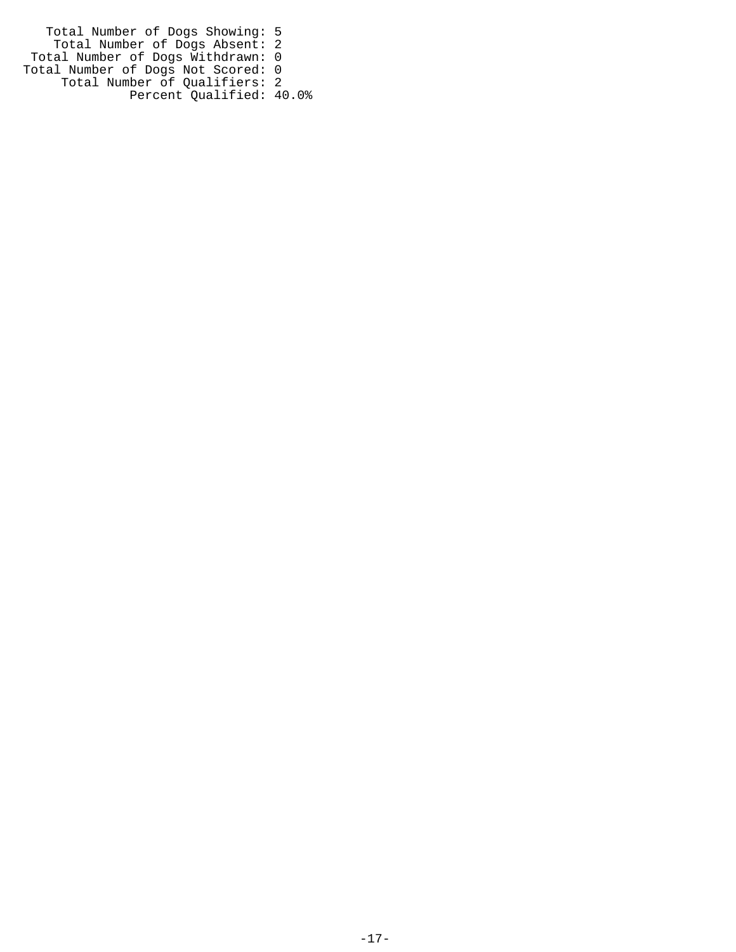Total Number of Dogs Showing: 5 Total Number of Dogs Absent: 2 Total Number of Dogs Withdrawn: 0 Total Number of Dogs Not Scored: 0 Total Number of Qualifiers: 2 Percent Qualified: 40.0%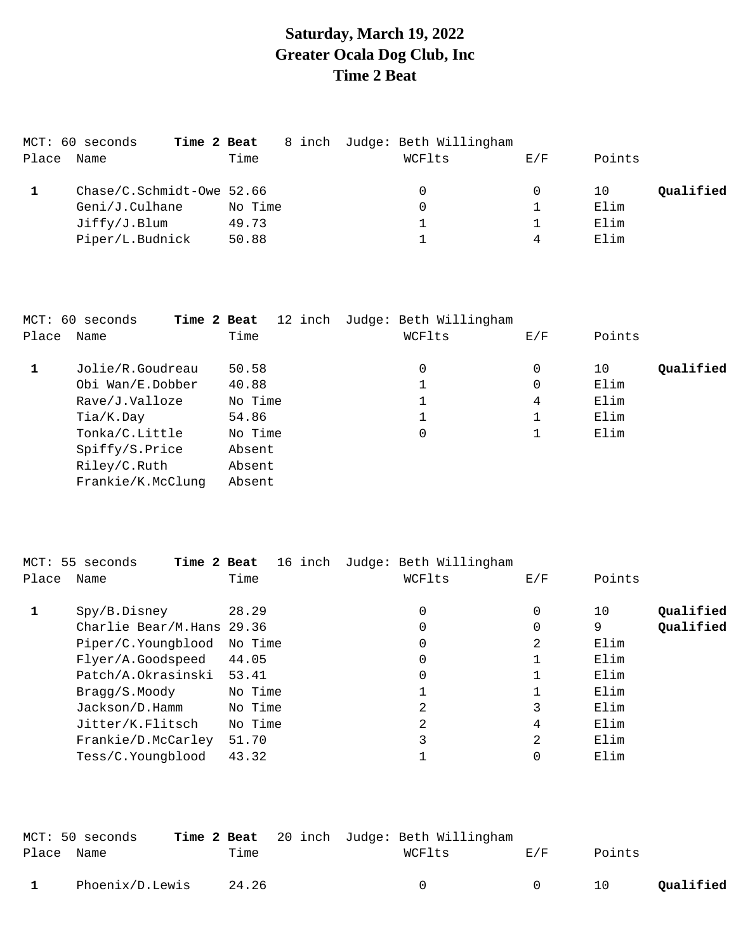### **Saturday, March 19, 2022 Greater Ocala Dog Club, Inc Time 2 Beat**

|       | MCT: 60 seconds<br>Time 2 Beat |         | 8 inch Judge: Beth Willingham |     |                 |
|-------|--------------------------------|---------|-------------------------------|-----|-----------------|
| Place | Name                           | Time    | WCFlts                        | E/F | Points          |
|       | $Chase/C.Schmidt-Owe 52.66$    |         | 0                             | 0   | Qualified<br>10 |
|       | Geni/J.Culhane                 | No Time | 0                             |     | Elim            |
|       | Jiffy/J.Blum                   | 49.73   |                               |     | Elim            |
|       | Piper/L.Budnick                | 50.88   |                               | 4   | Elim            |
|       |                                |         |                               |     |                 |

|       | MCT: 60 seconds<br>Time 2 Beat |         | 12 inch Judge: Beth Willingham |     |                 |
|-------|--------------------------------|---------|--------------------------------|-----|-----------------|
| Place | Name                           | Time    | WCFlts                         | E/F | Points          |
|       | Jolie/R.Goudreau               | 50.58   | 0                              | 0   | Qualified<br>10 |
|       | Obi Wan/E.Dobber               | 40.88   |                                | 0   | Elim            |
|       | Rave/J.Valloze                 | No Time | 1                              | 4   | Elim            |
|       | Tia/K.Day                      | 54.86   |                                |     | Elim            |
|       | Tonka/C.Little                 | No Time | 0                              |     | Elim            |
|       | Spiffy/S.Price                 | Absent  |                                |     |                 |
|       | Riley/C.Ruth                   | Absent  |                                |     |                 |
|       | Frankie/K.McClung              | Absent  |                                |     |                 |

|       | MCT: 55 seconds<br>Time 2 Beat | 16 inch | Judge: Beth Willingham |          |                 |
|-------|--------------------------------|---------|------------------------|----------|-----------------|
| Place | Name                           | Time    | WCFlts                 | E/F      | Points          |
|       | Spy/B.Disney                   | 28.29   | 0                      | $\Omega$ | Qualified<br>10 |
|       | Charlie Bear/M.Hans 29.36      |         | 0                      | $\Omega$ | Qualified<br>9  |
|       | Piper/C.Youngblood             | No Time | 0                      | 2        | Elim            |
|       | Flyer/A.Goodspeed              | 44.05   | 0                      |          | Elim            |
|       | Patch/A.Okrasinski             | 53.41   | 0                      |          | Elim            |
|       | Bragg/S.Moody                  | No Time |                        |          | Elim            |
|       | Jackson/D.Hamm                 | No Time | 2                      | 3        | Elim            |
|       | Jitter/K.Flitsch               | No Time | 2                      | 4        | Elim            |
|       | Frankie/D.McCarley             | 51.70   | 3                      | 2        | Elim            |
|       | Tess/C.Youngblood              | 43.32   |                        |          | Elim            |
|       |                                |         |                        |          |                 |

|            | MCT: 50 seconds |       | <b>Time 2 Beat</b> 20 inch Judge: Beth Willingham |        |        |           |
|------------|-----------------|-------|---------------------------------------------------|--------|--------|-----------|
| Place Name |                 | Time  | WCFlts                                            | F. / F | Points |           |
|            | Phoenix/D.Lewis | 24.26 |                                                   |        | 10     | Qualified |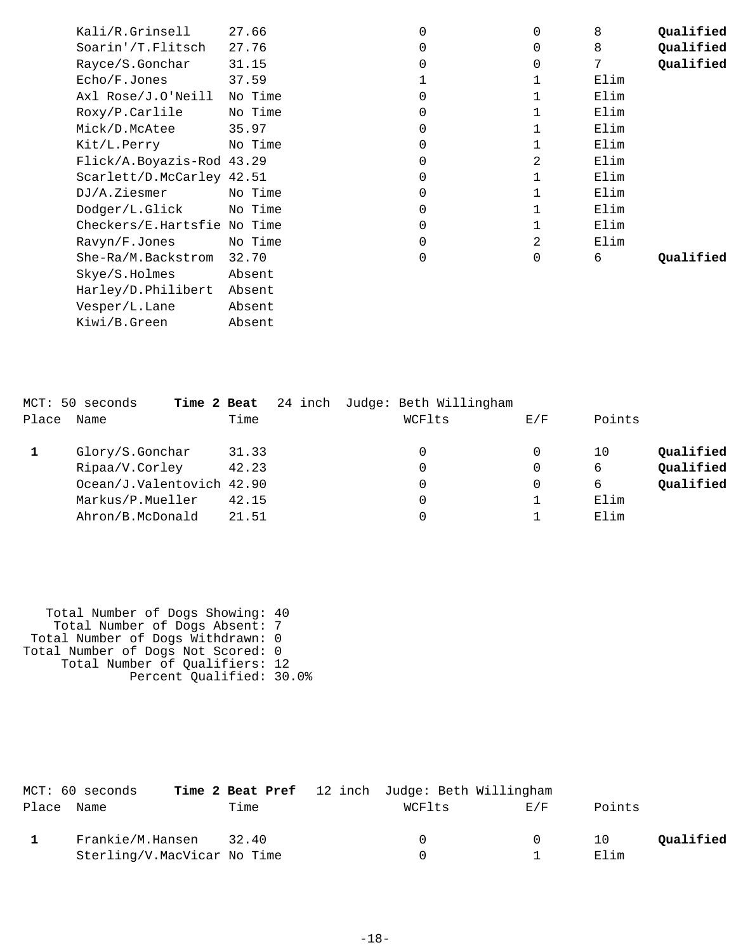| Kali/R.Grinsell             | 27.66   | $\overline{0}$ | 0            | 8    | Qualified |
|-----------------------------|---------|----------------|--------------|------|-----------|
| Soarin'/T.Flitsch           | 27.76   | $\mathbf 0$    | $\Omega$     | 8    | Qualified |
| Rayce/S.Gonchar             | 31.15   | $\Omega$       | $\Omega$     | 7    | Qualified |
| Echo/F.Jones                | 37.59   |                | 1            | Elim |           |
| Axl Rose/J.O'Neill          | No Time | $\Omega$       | 1            | Elim |           |
| Roxy/P.Carlile              | No Time | $\mathbf 0$    |              | Elim |           |
| Mick/D.McAtee               | 35.97   | $\mathbf 0$    |              | Elim |           |
| Kit/L.Perry                 | No Time | $\mathbf 0$    | 1            | Elim |           |
| Flick/A.Boyazis-Rod 43.29   |         | $\mathbf 0$    | 2            | Elim |           |
| Scarlett/D.McCarley 42.51   |         | $\mathbf 0$    | 1            | Elim |           |
| DJ/A.Ziesmer                | No Time | $\mathbf 0$    |              | Elim |           |
| Dodger/L.Glick No Time      |         | $\mathbf 0$    |              | Elim |           |
| Checkers/E.Hartsfie No Time |         | $\mathbf 0$    | $\mathbf{1}$ | Elim |           |
| Ravyn/F.Jones               | No Time | $\mathbf 0$    | 2            | Elim |           |
| She-Ra/M.Backstrom          | 32.70   | $\overline{0}$ | $\Omega$     | 6    | Oualified |
| Skye/S.Holmes               | Absent  |                |              |      |           |
| Harley/D.Philibert          | Absent  |                |              |      |           |
| Vesper/L.Lane               | Absent  |                |              |      |           |
| Kiwi/B.Green                | Absent  |                |              |      |           |
|                             |         |                |              |      |           |

|       | MCT: 50 seconds<br>Time 2 Beat |       | 24 inch Judge: Beth Willingham |     |        |           |
|-------|--------------------------------|-------|--------------------------------|-----|--------|-----------|
| Place | Name                           | Time  | WCFlts                         | E/F | Points |           |
|       | Glory/S.Gonchar                | 31.33 | 0                              | 0   | 10     | Qualified |
|       | Ripaa/V.Corley                 | 42.23 | 0                              | 0   | 6      | Qualified |
|       | Ocean/J.Valentovich 42.90      |       | 0                              | 0   | 6      | Qualified |
|       | Markus/P.Mueller               | 42.15 | 0                              |     | Elim   |           |
|       | Ahron/B.McDonald               | 21.51 |                                |     | Elim   |           |

 Total Number of Dogs Showing: 40 Total Number of Dogs Absent: 7 Total Number of Dogs Withdrawn: 0 Total Number of Dogs Not Scored: 0 Total Number of Qualifiers: 12 Percent Qualified: 30.0%

| MCT: 60 seconds             |       | Time 2 Beat Pref 12 inch Judge: Beth Willingham |        |        |           |
|-----------------------------|-------|-------------------------------------------------|--------|--------|-----------|
| Place Name                  | Time  | WCFlts                                          | F/F    | Points |           |
| Frankie/M.Hansen            | 32.40 |                                                 | $\cap$ | 10     | Oualified |
| Sterling/V.MacVicar No Time |       |                                                 |        | Elim   |           |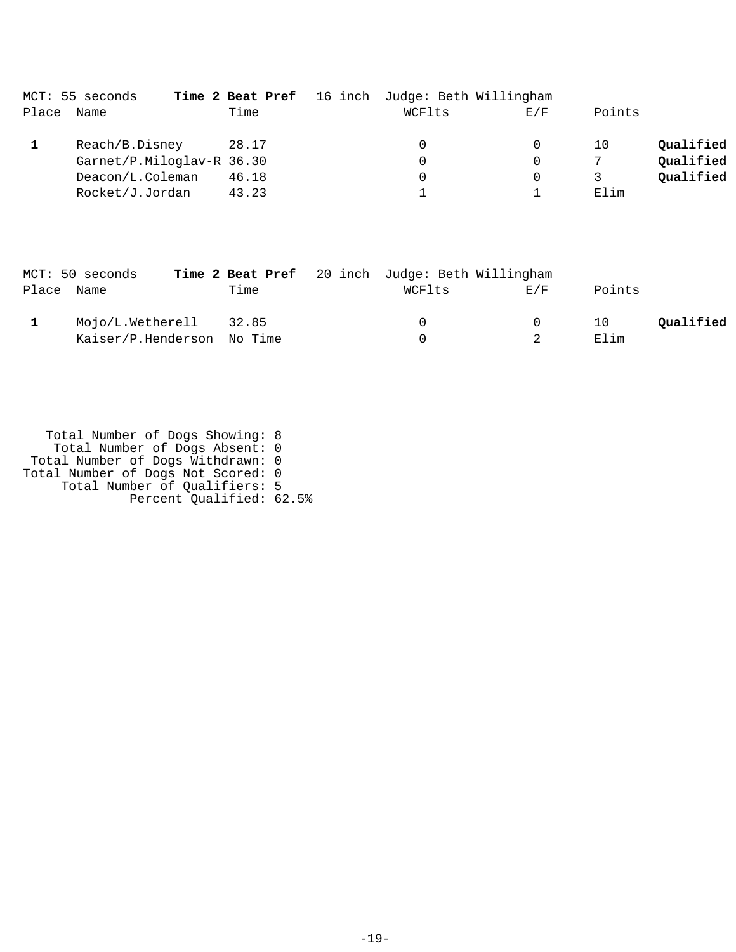|       | MCT: 55 seconds           |       | Time 2 Beat Pref 16 inch Judge: Beth Willingham |          |        |           |
|-------|---------------------------|-------|-------------------------------------------------|----------|--------|-----------|
| Place | Name                      | Time  | WCFlts                                          | E/F      | Points |           |
|       | Reach/B.Disney            | 28.17 | 0                                               | $\Omega$ | 10     | Qualified |
|       | Garnet/P.Miloglav-R 36.30 |       | 0                                               | $\Omega$ | 7      | Qualified |
|       | Deacon/L.Coleman          | 46.18 | 0                                               | $\Omega$ |        | Qualified |
|       | Rocket/J.Jordan           | 43.23 |                                                 |          | Elim   |           |

|            | MCT: 50 seconds            |      | Time 2 Beat Pref 20 inch Judge: Beth Willingham |          |        |           |
|------------|----------------------------|------|-------------------------------------------------|----------|--------|-----------|
| Place Name |                            | Time | WCFlts                                          | F/K      | Points |           |
|            | Mojo/L.Wetherell 32.85     |      |                                                 | $\Omega$ | 10     | Oualified |
|            | Kaiser/P.Henderson No Time |      |                                                 |          | Elim   |           |

 Total Number of Dogs Showing: 8 Total Number of Dogs Absent: 0 Total Number of Dogs Withdrawn: 0 Total Number of Dogs Not Scored: 0 Total Number of Qualifiers: 5 Percent Qualified: 62.5%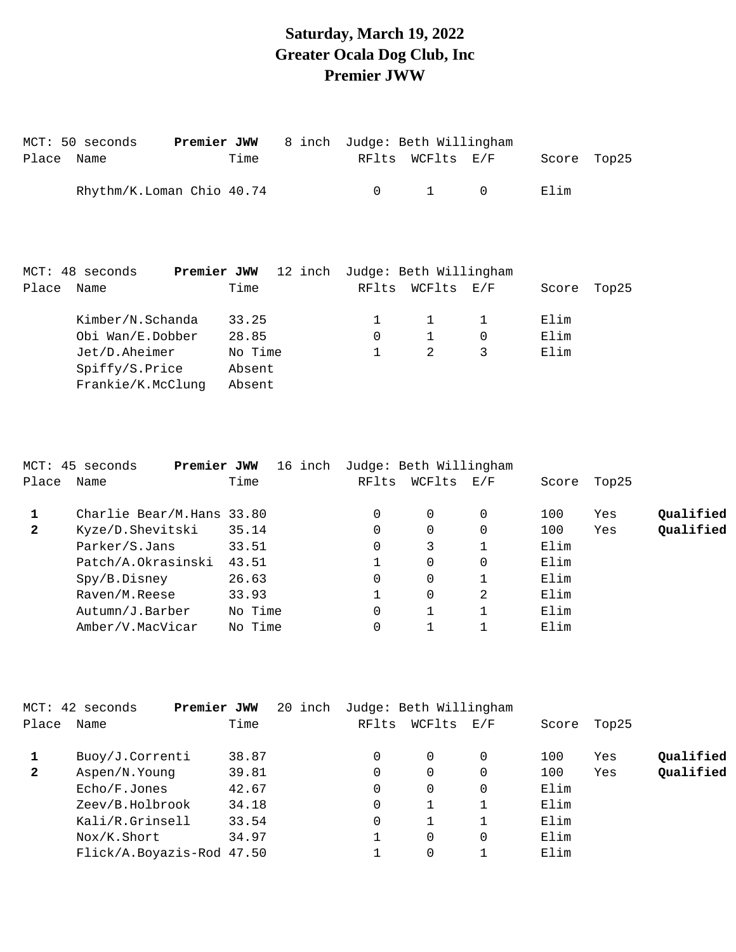## **Saturday, March 19, 2022 Greater Ocala Dog Club, Inc Premier JWW**

|       | MCT: 50 seconds<br>Place Name | Premier JWW        | Time | 8 inch  | RFlts | Judge: Beth Willingham<br>WCFlts E/F |             | Score | Top25 |
|-------|-------------------------------|--------------------|------|---------|-------|--------------------------------------|-------------|-------|-------|
|       | Rhythm/K.Loman Chio 40.74     |                    |      |         | 0     | $\mathbf{1}$                         | $\mathbf 0$ | Elim  |       |
|       | MCT: 48 seconds               | <b>Premier JWW</b> |      | 12 inch |       | Judge: Beth Willingham               |             |       |       |
| Place | Name                          |                    | Time |         | RFlts | WCFlts E/F                           |             | Score | Top25 |
|       | Kimber/N.Schanda 33.25        |                    |      |         |       |                                      |             | Elim  |       |

| Obi Wan/E.Dobber  | 28.85   |  | Elim |
|-------------------|---------|--|------|
| Jet/D.Aheimer     | No Time |  | Elim |
| Spiffy/S.Price    | Absent  |  |      |
| Frankie/K.McClung | Absent  |  |      |

|              | MCT: 45 seconds<br>Premier JWW | 16 inch | Judge: Beth Willingham |          |     |       |       |           |
|--------------|--------------------------------|---------|------------------------|----------|-----|-------|-------|-----------|
| Place        | Name                           | Time    | RFlts                  | WCFlts   | E/F | Score | Top25 |           |
|              | Charlie Bear/M.Hans 33.80      |         | 0                      | $\Omega$ | 0   | 100   | Yes   | Qualified |
| $\mathbf{2}$ | Kyze/D.Shevitski               | 35.14   | 0                      | $\Omega$ | 0   | 100   | Yes   | Oualified |
|              | Parker/S.Jans                  | 33.51   | 0                      | 3        |     | Elim  |       |           |
|              | Patch/A.Okrasinski             | 43.51   |                        | $\Omega$ | 0   | Elim  |       |           |
|              | Spy/B.Disney                   | 26.63   | 0                      | 0        |     | Elim  |       |           |
|              | Raven/M.Reese                  | 33.93   |                        | $\Omega$ | 2   | Elim  |       |           |
|              | Autumn/J.Barber                | No Time | $\Omega$               |          |     | Elim  |       |           |
|              | Amber/V.MacVicar               | No Time |                        |          |     | Elim  |       |           |

|              | MCT: 42 seconds<br>Premier JWW | 20 inch |       | Judge: Beth Willingham |     |       |       |           |
|--------------|--------------------------------|---------|-------|------------------------|-----|-------|-------|-----------|
| Place        | Name                           | Time    | RFlts | WCFlts                 | E/F | Score | Top25 |           |
|              | Buoy/J.Correnti                | 38.87   |       | 0                      | 0   | 100   | Yes   | Qualified |
| $\mathbf{2}$ | Aspen/N.Young                  | 39.81   |       | 0                      | 0   | 100   | Yes   | Qualified |
|              | Echo/F.Jones                   | 42.67   |       | 0                      | 0   | Elim  |       |           |
|              | Zeev/B.Holbrook                | 34.18   |       |                        |     | Elim  |       |           |
|              | Kali/R.Grinsell                | 33.54   |       |                        |     | Elim  |       |           |
|              | Nox/K.Short                    | 34.97   |       | 0                      | 0   | Elim  |       |           |
|              | Flick/A.Boyazis-Rod 47.50      |         |       |                        |     | Elim  |       |           |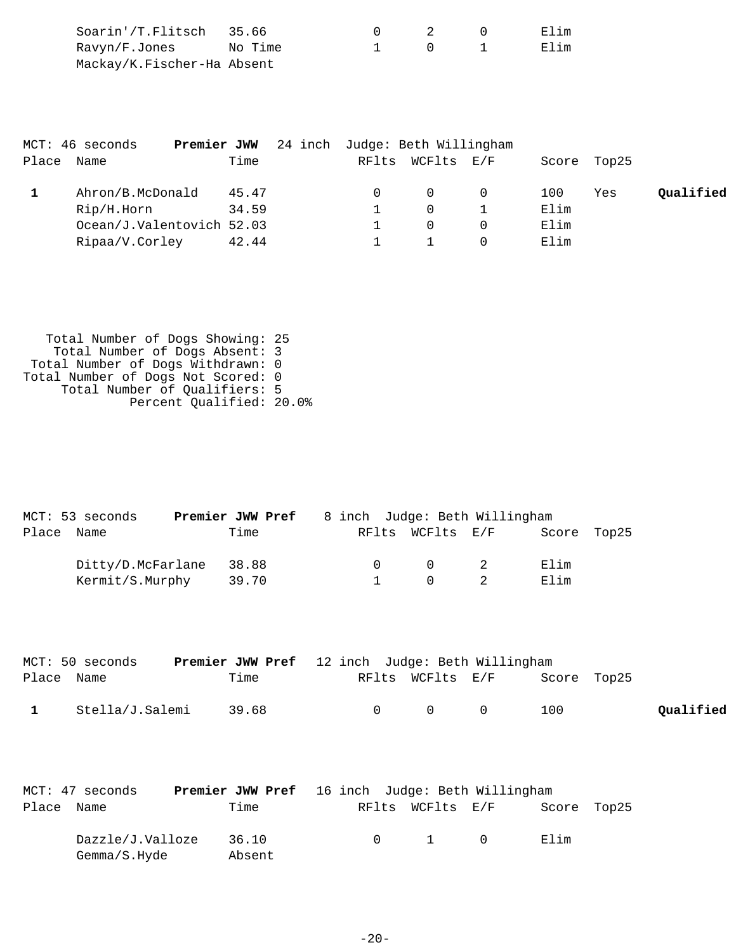| Soarin'/T.Flitsch 35.66    |         |  | Elim |
|----------------------------|---------|--|------|
| Ravyn/F.Jones              | No Time |  | Elim |
| Mackay/K.Fischer-Ha Absent |         |  |      |

|       | MCT: 46 seconds<br>Premier JWW | 24 inch Judge: Beth Willingham |                  |          |      |             |           |
|-------|--------------------------------|--------------------------------|------------------|----------|------|-------------|-----------|
| Place | Name                           | Time                           | RFlts WCFlts E/F |          |      | Score Top25 |           |
|       | Ahron/B.McDonald               | 45.47                          | $\Omega$         | $\Omega$ | 100  | Yes         | Qualified |
|       | Rip/H.Horn                     | 34.59                          | $\Omega$         |          | Elim |             |           |
|       | Ocean/J.Valentovich 52.03      |                                | $\Omega$         |          | Elim |             |           |
|       | Ripaa/V.Corley                 | 42.44                          |                  |          | Elim |             |           |

 Total Number of Dogs Showing: 25 Total Number of Dogs Absent: 3 Total Number of Dogs Withdrawn: 0 Total Number of Dogs Not Scored: 0 Total Number of Qualifiers: 5 Percent Qualified: 20.0%

|       | MCT: 53 seconds   | <b>Premier JWW Pref</b> 8 inch Judge: Beth Willingham |  |           |                                        |             |  |
|-------|-------------------|-------------------------------------------------------|--|-----------|----------------------------------------|-------------|--|
| Place | Name              | Time                                                  |  |           | RFlts WCFlts E/F                       | Score Top25 |  |
|       | Ditty/D.McFarlane | 38.88                                                 |  | $\bigcap$ | $\begin{array}{ccc} 0 & 2 \end{array}$ | Elim        |  |
|       | Kermit/S.Murphy   | 39.70                                                 |  |           | $\cap$                                 | Elim        |  |

|              | MCT: 50 seconds | <b>Premier JWW Pref</b> 12 inch Judge: Beth Willingham |                                         |                              |           |
|--------------|-----------------|--------------------------------------------------------|-----------------------------------------|------------------------------|-----------|
| Place Name   |                 | Time                                                   |                                         | RFlts WCFlts E/F Score Top25 |           |
| $\mathbf{1}$ | Stella/J.Salemi | 39.68                                                  | $\begin{matrix} 0 & 0 & 0 \end{matrix}$ | 100                          | Qualified |

| MCT: 47 seconds |                                  | <b>Premier JWW Pref</b> 16 inch Judge: Beth Willingham |  |                       |             |  |
|-----------------|----------------------------------|--------------------------------------------------------|--|-----------------------|-------------|--|
| Place Name      |                                  | Time                                                   |  | RFlts WCFlts E/F      | Score Top25 |  |
|                 | Dazzle/J.Valloze<br>Gemma/S.Hyde | 36.10<br>Absent                                        |  | $0 \qquad 1 \qquad 0$ | Elim        |  |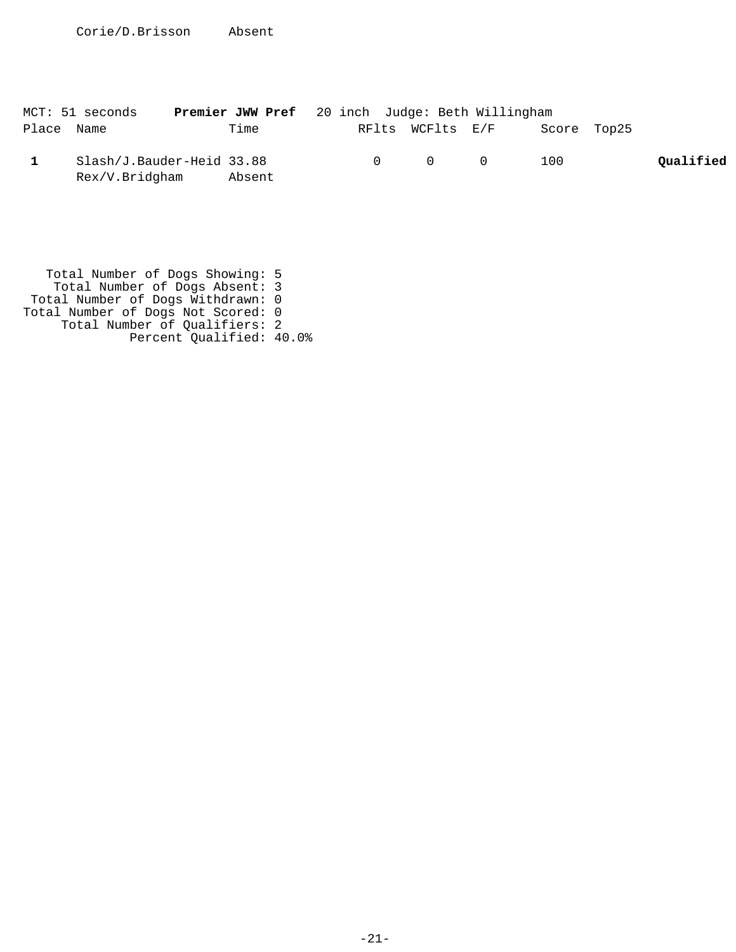|            | MCT: 51 seconds                             | <b>Premier JWW Pref</b> 20 inch Judge: Beth Willingham |  |                                         |             |           |
|------------|---------------------------------------------|--------------------------------------------------------|--|-----------------------------------------|-------------|-----------|
| Place Name |                                             | Time                                                   |  | RFlts WCFlts E/F                        | Score Top25 |           |
|            | Slash/J.Bauder-Heid 33.88<br>Rex/V.Bridgham | Absent                                                 |  | $\begin{matrix} 0 & 0 & 0 \end{matrix}$ | 100         | Qualified |

 Total Number of Dogs Showing: 5 Total Number of Dogs Absent: 3 Total Number of Dogs Withdrawn: 0 Total Number of Dogs Not Scored: 0 Total Number of Qualifiers: 2 Percent Qualified: 40.0%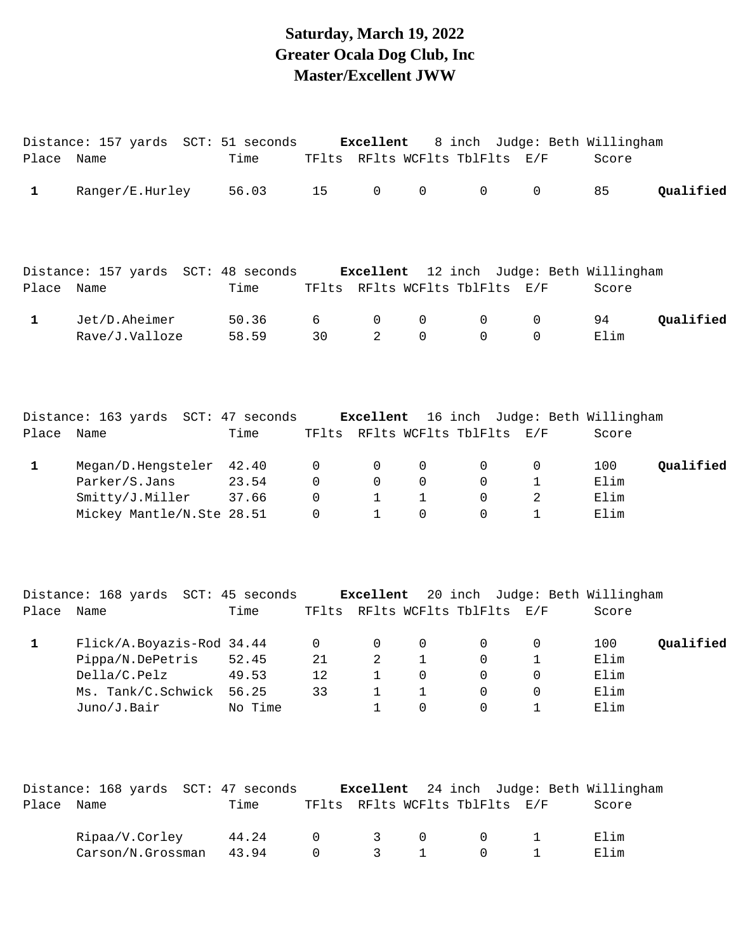### **Saturday, March 19, 2022 Greater Ocala Dog Club, Inc Master/Excellent JWW**

|              | Distance: 157 yards SCT: 51 seconds                                                                      |                           |                         | Excellent                                        |                                                         |                                           |                                                         | 8 inch Judge: Beth Willingham                     |           |
|--------------|----------------------------------------------------------------------------------------------------------|---------------------------|-------------------------|--------------------------------------------------|---------------------------------------------------------|-------------------------------------------|---------------------------------------------------------|---------------------------------------------------|-----------|
| Place Name   |                                                                                                          | Time                      |                         |                                                  |                                                         | TFlts RFlts WCFlts TblFlts E/F            |                                                         | Score                                             |           |
| $\mathbf{1}$ | Ranger/E.Hurley                                                                                          | 56.03                     | 15                      | $\mathbf 0$                                      | 0                                                       | 0                                         | $\mathbf 0$                                             | 85                                                | Qualified |
|              | Distance: 157 yards SCT: 48 seconds Excellent 12 inch Judge: Beth Willingham                             |                           |                         |                                                  |                                                         |                                           |                                                         |                                                   |           |
| Place Name   |                                                                                                          | Time                      |                         |                                                  |                                                         | TFlts RFlts WCFlts TblFlts E/F            |                                                         | Score                                             |           |
| $\mathbf{1}$ | Jet/D.Aheimer<br>Rave/J.Valloze                                                                          | 50.36<br>58.59            | 6<br>30                 | 0<br>2                                           | 0<br>$\mathbf 0$                                        | 0<br>$\mathsf{O}$                         | 0<br>$\mathbf 0$                                        | 94<br>Elim                                        | Qualified |
| Place Name   | Distance: 163 yards SCT: 47 seconds Excellent 16 inch Judge: Beth Willingham                             | Time                      |                         |                                                  |                                                         | TFlts RFlts WCFlts TblFlts E/F            |                                                         | Score                                             |           |
| $\mathbf{1}$ | Megan/D.Hengsteler 42.40<br>Parker/S.Jans<br>Smitty/J.Miller<br>Mickey Mantle/N.Ste 28.51                | 23.54<br>37.66            | 0<br>0<br>0<br>$\Omega$ | 0<br>$\mathbf 0$<br>$\mathbf{1}$<br>$\mathbf{1}$ | 0<br>0<br>$\mathbf{1}$<br>$\Omega$                      | $\mathsf{O}$<br>0<br>$\Omega$<br>$\Omega$ | 0<br>1<br>$\overline{2}$<br>$\mathbf{1}$                | 100<br>Elim<br>Elim<br>Elim                       | Qualified |
| Place Name   | Distance: 168 yards SCT: 45 seconds Excellent                                                            | Time                      |                         |                                                  |                                                         | TFlts RFlts WCFlts TblFlts E/F            |                                                         | 20 inch Judge: Beth Willingham<br>Score           |           |
| $\mathbf{1}$ | Flick/A.Boyazis-Rod 34.44<br>Pippa/N.DePetris<br>Della/C.Pelz 49.53<br>Ms. Tank/C.Schwick<br>Juno/J.Bair | 52.45<br>56.25<br>No Time | 0<br>21<br>12<br>33     | 0<br>2<br>1<br>1<br>1                            | 0<br>$\mathbf{1}$<br>$\overline{0}$<br>1<br>$\mathbf 0$ | 0<br>0<br>$\overline{0}$<br>0<br>0        | 0<br>$\mathbf{1}$<br>$\overline{0}$<br>0<br>$\mathbf 1$ | 100<br>Elim<br>Elim<br>Elim<br>Elim               | Qualified |
| Place        | Distance: 168 yards SCT: 47 seconds<br>Name                                                              | Time                      |                         |                                                  |                                                         | TFlts RFlts WCFlts TblFlts E/F            |                                                         | Excellent 24 inch Judge: Beth Willingham<br>Score |           |
|              | Ripaa/V.Corley<br>Carson/N.Grossman                                                                      | 44.24<br>43.94            | 0<br>0                  | 3<br>3                                           | 0<br>1                                                  | 0<br>0                                    | 1<br>1                                                  | Elim<br>Elim                                      |           |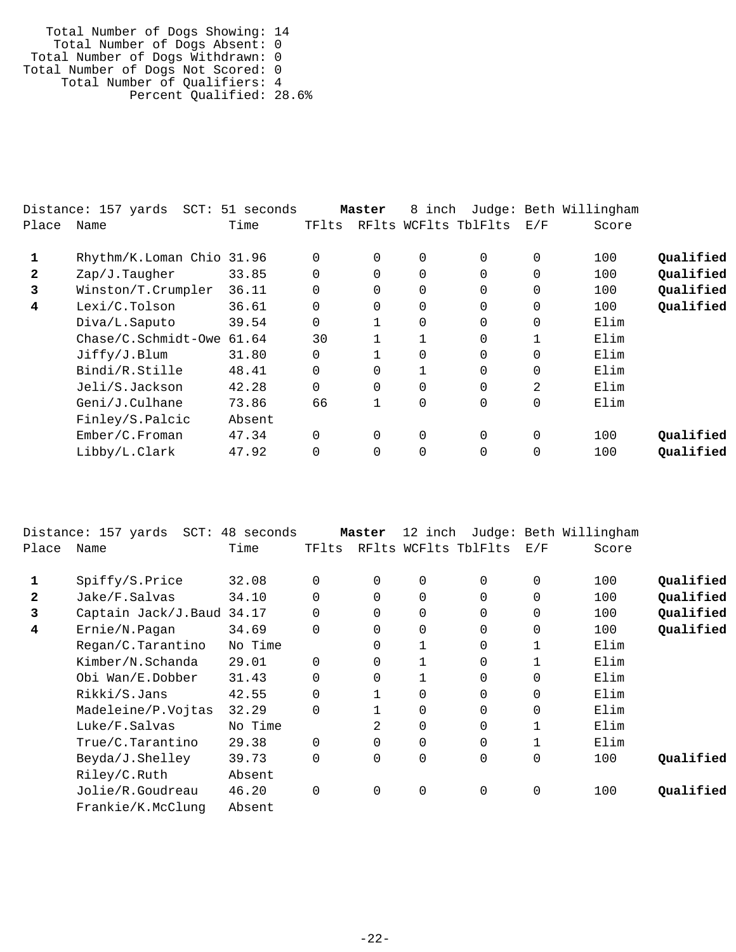Total Number of Dogs Showing: 14 Total Number of Dogs Absent: 0 Total Number of Dogs Withdrawn: 0 Total Number of Dogs Not Scored: 0 Total Number of Qualifiers: 4 Percent Qualified: 28.6%

|              | Distance: 157 yards<br>$SCT$ : | 51 seconds |       | Master   | inch<br>8            |          |          | Judge: Beth Willingham |           |
|--------------|--------------------------------|------------|-------|----------|----------------------|----------|----------|------------------------|-----------|
| Place        | Name                           | Time       | TFlts |          | RFlts WCFlts TblFlts |          | E/F      | Score                  |           |
|              | Rhythm/K.Loman Chio 31.96      |            | 0     | $\Omega$ | $\Omega$             |          | $\Omega$ | 100                    | Qualified |
| $\mathbf{2}$ | Zap/J.Taugher                  | 33.85      | 0     | $\Omega$ | $\Omega$             | $\Omega$ | $\Omega$ | 100                    | Qualified |
| 3            | Winston/T.Crumpler             | 36.11      | 0     | $\Omega$ | $\Omega$             |          | $\Omega$ | 100                    | Qualified |
| 4            | Lexi/C.Tolson                  | 36.61      | 0     | 0        | 0                    |          | $\Omega$ | 100                    | Qualified |
|              | Diva/L.Saputo                  | 39.54      | 0     |          | $\Omega$             | $\Omega$ | $\Omega$ | Elim                   |           |
|              | $Chase/C.Schmidt-Owe$          | 61.64      | 30    |          |                      |          |          | Elim                   |           |
|              | Jiffry/J.Blum                  | 31.80      | 0     |          | $\Omega$             |          | $\Omega$ | Elim                   |           |
|              | Bindi/R.Stille                 | 48.41      | 0     | 0        | $\mathbf{1}$         |          | $\Omega$ | Elim                   |           |
|              | Jeli/S.Jackson                 | 42.28      | 0     | 0        | $\Omega$             |          | 2        | Elim                   |           |
|              | Geni/J.Culhane                 | 73.86      | 66    |          | $\overline{0}$       |          | $\Omega$ | Elim                   |           |
|              | Finley/S.Palcic                | Absent     |       |          |                      |          |          |                        |           |
|              | Ember/C.Froman                 | 47.34      | 0     | $\Omega$ | $\Omega$             | $\Omega$ | $\Omega$ | 100                    | Qualified |
|              | Libby/L.Clark                  | 47.92      | 0     | 0        |                      |          | 0        | 100                    | Qualified |
|              |                                |            |       |          |                      |          |          |                        |           |

|       | Distance: 157 yards<br>SCT: | 48 seconds |          | Master   | 12 inch        |                      |             | Judge: Beth Willingham |           |
|-------|-----------------------------|------------|----------|----------|----------------|----------------------|-------------|------------------------|-----------|
| Place | Name                        | Time       | TFlts    |          |                | RFlts WCFlts TblFlts | E/F         | Score                  |           |
| 1     | Spiffy/S.Price              | 32.08      | 0        | 0        | $\mathbf 0$    | $\Omega$             | $\mathbf 0$ | 100                    | Qualified |
| 2     | Jake/F.Salvas               | 34.10      | $\Omega$ | $\Omega$ | $\mathbf 0$    | $\Omega$             | $\mathbf 0$ | 100                    | Qualified |
| 3     | Captain Jack/J.Baud 34.17   |            | $\Omega$ | $\Omega$ | $\mathbf 0$    | $\Omega$             | $\mathbf 0$ | 100                    | Qualified |
| 4     | Ernie/N.Pagan               | 34.69      | $\Omega$ | $\Omega$ | $\mathbf 0$    | $\Omega$             | $\mathbf 0$ | 100                    | Qualified |
|       | Regan/C.Tarantino           | No Time    |          | 0        |                | 0                    | 1           | Elim                   |           |
|       | Kimber/N.Schanda            | 29.01      | $\Omega$ | 0        |                | $\Omega$             | 1           | Elim                   |           |
|       | Obi Wan/E.Dobber            | 31.43      | 0        | 0        |                | $\Omega$             | 0           | Elim                   |           |
|       | Rikki/S.Jans                | 42.55      | $\Omega$ |          | $\mathbf 0$    | $\Omega$             | $\mathbf 0$ | Elim                   |           |
|       | Madeleine/P.Vojtas          | 32.29      | $\Omega$ |          | $\overline{0}$ | 0                    | 0           | Elim                   |           |
|       | Luke/F.Salvas               | No Time    |          | 2        | $\mathbf 0$    | 0                    | 1           | Elim                   |           |
|       | True/C.Tarantino            | 29.38      | 0        | 0        | $\mathbf 0$    | $\mathbf 0$          |             | Elim                   |           |
|       | Beyda/J.Shelley             | 39.73      | $\Omega$ | 0        | $\overline{0}$ | 0                    | $\mathbf 0$ | 100                    | Qualified |
|       | Riley/C.Ruth                | Absent     |          |          |                |                      |             |                        |           |
|       | Jolie/R.Goudreau            | 46.20      | $\Omega$ | $\Omega$ | $\mathbf 0$    | 0                    | 0           | 100                    | Oualified |
|       | Frankie/K.McClung           | Absent     |          |          |                |                      |             |                        |           |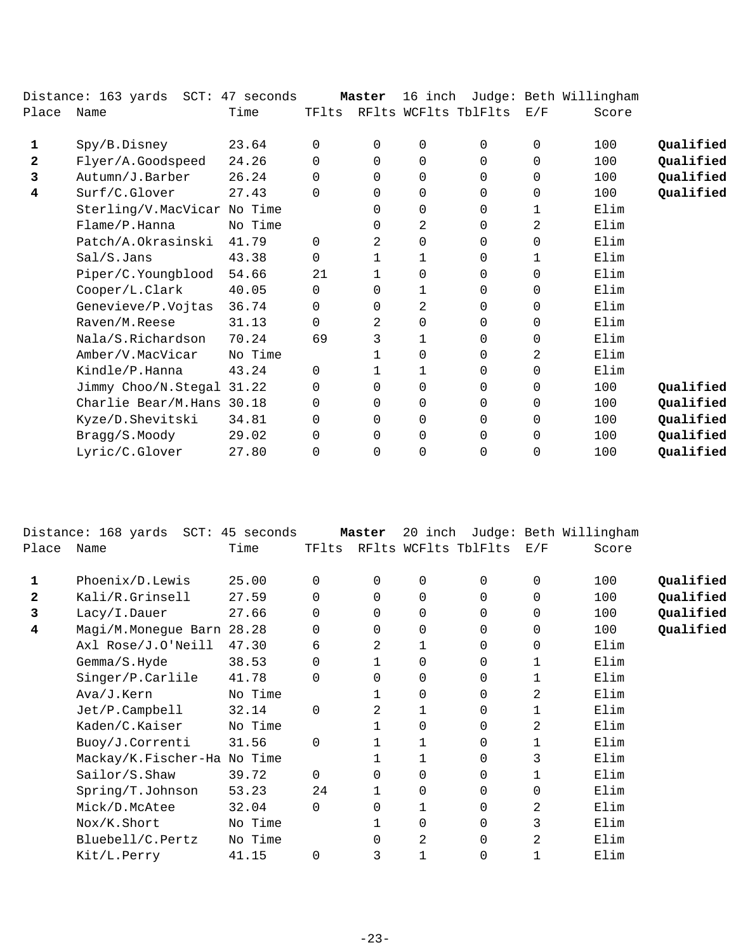|       | Distance: 163 yards SCT: 47 seconds |         |          | Master       | 16 inch     |                      |          | Judge: Beth Willingham |           |
|-------|-------------------------------------|---------|----------|--------------|-------------|----------------------|----------|------------------------|-----------|
| Place | Name                                | Time    | TFlts    |              |             | RFlts WCFlts TblFlts | E/F      | Score                  |           |
| 1     | Spy/B.Disney                        | 23.64   | 0        | $\Omega$     | $\mathbf 0$ | $\Omega$             | $\Omega$ | 100                    | Qualified |
| 2     | Flyer/A.Goodspeed                   | 24.26   | $\Omega$ | $\Omega$     | 0           | $\Omega$             | $\Omega$ | 100                    | Qualified |
| 3     | Autumn/J.Barber                     | 26.24   | $\Omega$ | 0            | 0           | $\Omega$             | 0        | 100                    | Qualified |
| 4     | Surf/C.Glover                       | 27.43   | $\Omega$ | $\Omega$     | $\mathbf 0$ | $\Omega$             | $\Omega$ | 100                    | Qualified |
|       | Sterling/V.MacVicar No Time         |         |          | $\Omega$     | 0           | 0                    | 1        | Elim                   |           |
|       | Flame/P.Hanna                       | No Time |          | 0            | 2           | 0                    | 2        | Elim                   |           |
|       | Patch/A.Okrasinski                  | 41.79   | $\Omega$ | 2            | 0           | $\Omega$             | 0        | Elim                   |           |
|       | Sal/S.Jans                          | 43.38   | 0        | 1            | 1           | $\Omega$             | 1        | Elim                   |           |
|       | Piper/C.Youngblood                  | 54.66   | 21       | $\mathbf{1}$ | 0           | 0                    | $\Omega$ | Elim                   |           |
|       | Cooper/L.Clark                      | 40.05   | 0        | $\Omega$     | 1           | 0                    | $\Omega$ | Elim                   |           |
|       | Genevieve/P.Vojtas                  | 36.74   | 0        | 0            | 2           | 0                    | 0        | Elim                   |           |
|       | Raven/M.Reese                       | 31.13   | $\Omega$ | 2            | $\mathbf 0$ | $\Omega$             | $\Omega$ | Elim                   |           |
|       | Nala/S.Richardson                   | 70.24   | 69       | 3            | 1           | 0                    | $\Omega$ | Elim                   |           |
|       | Amber/V.MacVicar                    | No Time |          | $\mathbf{1}$ | 0           | 0                    | 2        | Elim                   |           |
|       | Kindle/P.Hanna                      | 43.24   | $\Omega$ | 1            | 1           | 0                    | 0        | Elim                   |           |
|       | Jimmy Choo/N.Stegal 31.22           |         | 0        | $\Omega$     | $\mathbf 0$ | $\Omega$             | 0        | 100                    | Qualified |
|       | Charlie Bear/M.Hans 30.18           |         | $\Omega$ | $\Omega$     | 0           | 0                    | 0        | 100                    | Qualified |
|       | Kyze/D.Shevitski                    | 34.81   | 0        | 0            | $\mathbf 0$ | 0                    | 0        | 100                    | Qualified |
|       | Bragg/S.Moody                       | 29.02   | 0        | 0            | 0           | 0                    | 0        | 100                    | Qualified |
|       | Lyric/C.Glover                      | 27.80   | 0        | 0            | 0           | 0                    | 0        | 100                    | Qualified |
|       |                                     |         |          |              |             |                      |          |                        |           |

|       | Distance: 168 yards SCT: 45 seconds |         |          | Master      | 20<br>inch |                      |                | Judge: Beth Willingham |           |
|-------|-------------------------------------|---------|----------|-------------|------------|----------------------|----------------|------------------------|-----------|
| Place | Name                                | Time    | TFlts    |             |            | RFlts WCFlts TblFlts | E/F            | Score                  |           |
|       | Phoenix/D.Lewis                     | 25.00   | 0        | $\mathbf 0$ | 0          | $\Omega$             | $\Omega$       | 100                    | Qualified |
| 2     | Kali/R.Grinsell                     | 27.59   | 0        | $\Omega$    | 0          | 0                    | $\Omega$       | 100                    | Qualified |
| 3     | Lacy/I.Dauer                        | 27.66   | 0        | 0           | 0          | 0                    | 0              | 100                    | Qualified |
| 4     | Magi/M.Monegue Barn 28.28           |         |          | 0           | 0          | 0                    | 0              | 100                    | Qualified |
|       | Axl Rose/J.O'Neill                  | 47.30   | 6        | 2           | 1          | 0                    | 0              | Elim                   |           |
|       | Gemma/S.Hyde                        | 38.53   | 0        |             | 0          | 0                    | 1              | Elim                   |           |
|       | Singer/P.Carlile                    | 41.78   | 0        | $\Omega$    | 0          | 0                    |                | Elim                   |           |
|       | Ava/J.Kern                          | No Time |          |             | 0          | 0                    | 2              | Elim                   |           |
|       | $Jet/P$ . Campbell                  | 32.14   | $\Omega$ | 2           | 1          | 0                    |                | Elim                   |           |
|       | Kaden/C.Kaiser                      | No Time |          |             | 0          | 0                    | 2              | Elim                   |           |
|       | Buoy/J.Correnti                     | 31.56   | $\Omega$ |             |            | 0                    | 1              | Elim                   |           |
|       | Mackay/K.Fischer-Ha No Time         |         |          |             | 1          | 0                    | 3              | Elim                   |           |
|       | Sailor/S.Shaw                       | 39.72   | $\Omega$ | 0           | 0          | 0                    | 1              | Elim                   |           |
|       | Spring/T.Johnson                    | 53.23   | 24       |             | 0          | 0                    | 0              | Elim                   |           |
|       | Mick/D.McAtee                       | 32.04   | $\Omega$ | $\Omega$    | 1          | 0                    | $\overline{2}$ | Elim                   |           |
|       | Nox/K.Short                         | No Time |          |             | 0          | 0                    | 3              | Elim                   |           |
|       | Bluebell/C.Pertz                    | No Time |          | $\Omega$    | 2          | $\Omega$             | 2              | Elim                   |           |
|       | Kit/L.Perry                         | 41.15   | 0        | 3           |            | 0                    |                | Elim                   |           |
|       |                                     |         |          |             |            |                      |                |                        |           |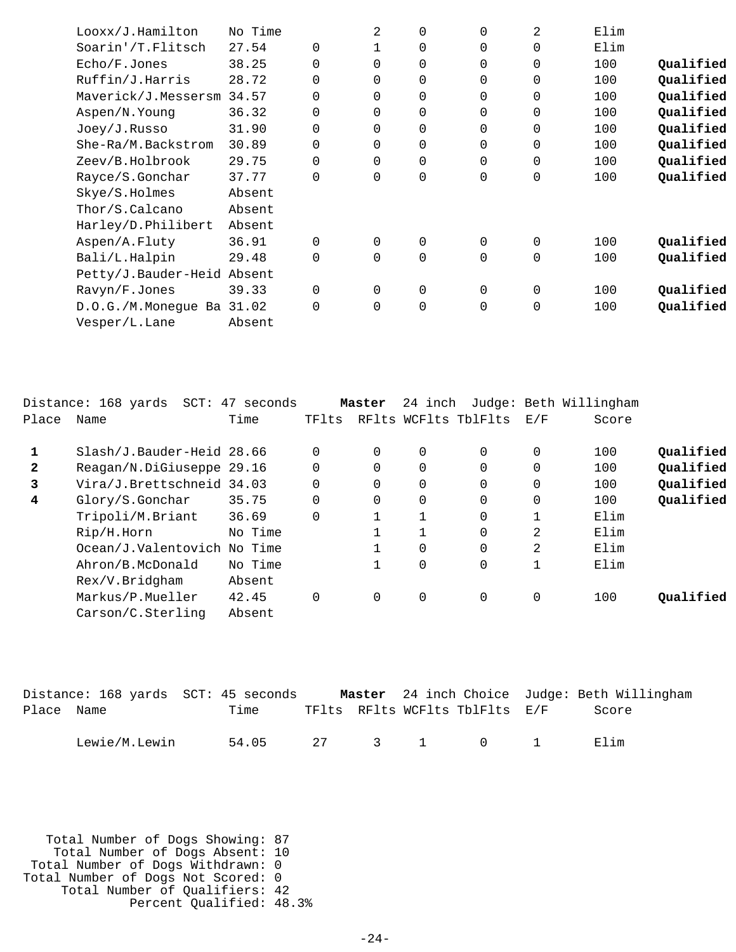| Looxx/J.Hamilton          | No Time |             | 2 | 0        | 0           | 2 | Elim |           |
|---------------------------|---------|-------------|---|----------|-------------|---|------|-----------|
| Soarin'/T.Flitsch         | 27.54   | $\Omega$    |   | 0        | 0           | 0 | Elim |           |
| Echo/F.Jones              | 38.25   | $\mathbf 0$ | 0 | 0        | 0           | 0 | 100  | Qualified |
| Ruffin/J.Harris           | 28.72   | $\mathbf 0$ | 0 | 0        | 0           | 0 | 100  | Qualified |
| Maverick/J.Messersm       | 34.57   | $\mathbf 0$ | 0 | $\Omega$ | 0           | 0 | 100  | Qualified |
| Aspen/N.Young             | 36.32   | $\mathbf 0$ | 0 | 0        | 0           | 0 | 100  | Qualified |
| Joey/J.Russo              | 31.90   | $\mathbf 0$ | 0 | $\Omega$ | 0           | 0 | 100  | Qualified |
| She-Ra/M.Backstrom        | 30.89   | $\mathbf 0$ | 0 | 0        | 0           | 0 | 100  | Qualified |
| Zeev/B.Holbrook           | 29.75   | $\mathbf 0$ | 0 | $\Omega$ | 0           | 0 | 100  | Qualified |
| Rayce/S.Gonchar           | 37.77   | $\mathbf 0$ | 0 | 0        | $\mathbf 0$ | 0 | 100  | Qualified |
| Skye/S.Holmes             | Absent  |             |   |          |             |   |      |           |
| Thor/S.Calcano            | Absent  |             |   |          |             |   |      |           |
| Harley/D.Philibert        | Absent  |             |   |          |             |   |      |           |
| Aspen/A.Fluty             | 36.91   | $\Omega$    | 0 | 0        | 0           | 0 | 100  | Qualified |
| Bali/L.Halpin             | 29.48   | $\mathbf 0$ | 0 | 0        | 0           | 0 | 100  | Qualified |
| Petty/J.Bauder-Heid       | Absent  |             |   |          |             |   |      |           |
| Ravyn/F.Jones             | 39.33   | $\mathbf 0$ | 0 | 0        | 0           | 0 | 100  | Qualified |
| D.O.G./M.Monegue Ba 31.02 |         | $\mathbf 0$ | 0 | 0        | 0           | 0 | 100  | Qualified |
| Vesper/L.Lane             | Absent  |             |   |          |             |   |      |           |

|                | Distance: 168 yards  SCT: 47 seconds |         |          | Master      | 24 inch  |                      |              | Judge: Beth Willingham |           |
|----------------|--------------------------------------|---------|----------|-------------|----------|----------------------|--------------|------------------------|-----------|
| Place          | Name                                 | Time    | TFlts    |             |          | RFlts WCFlts TblFlts | E/F          | Score                  |           |
| 1              | Slash/J.Bauder-Heid 28.66            |         |          | $\Omega$    | 0        | $\Omega$             | 0            | 100                    | Qualified |
| $\mathbf{2}$   | Reagan/N.DiGiuseppe 29.16            |         | $\Omega$ | $\Omega$    | $\Omega$ | 0                    | $\mathbf{0}$ | 100                    | Qualified |
| 3              | Vira/J.Brettschneid 34.03            |         |          | $\mathbf 0$ | 0        | 0                    | $\mathbf{0}$ | 100                    | Qualified |
| $\overline{4}$ | Glory/S.Gonchar                      | 35.75   | $\Omega$ | $\Omega$    | $\Omega$ | $\Omega$             | $\mathbf{0}$ | 100                    | Qualified |
|                | Tripoli/M.Briant                     | 36.69   | $\Omega$ |             |          | $\Omega$             |              | Elim                   |           |
|                | Rip/H.Horn                           | No Time |          |             |          | 0                    | 2            | Elim                   |           |
|                | Ocean/J.Valentovich No Time          |         |          |             | $\Omega$ | 0                    | 2            | Elim                   |           |
|                | Ahron/B.McDonald                     | No Time |          |             | 0        | 0                    |              | Elim                   |           |
|                | Rex/V.Bridgham                       | Absent  |          |             |          |                      |              |                        |           |
|                | Markus/P.Mueller                     | 42.45   | $\Omega$ | 0           | 0        | $\mathbf 0$          | 0            | 100                    | Qualified |
|                | Carson/C.Sterling                    | Absent  |          |             |          |                      |              |                        |           |

|            |               | Distance: 168 yards SCT: 45 seconds |  |                                | Master 24 inch Choice Judge: Beth Willingham |
|------------|---------------|-------------------------------------|--|--------------------------------|----------------------------------------------|
| Place Name |               | Time                                |  | TFlts RFlts WCFlts TblFlts E/F | Score                                        |
|            | Lewie/M.Lewin | 54.05 27 3 1 0 1                    |  |                                | Elim                                         |

 Total Number of Dogs Showing: 87 Total Number of Dogs Absent: 10 Total Number of Dogs Withdrawn: 0 Total Number of Dogs Not Scored: 0 Total Number of Qualifiers: 42 Percent Qualified: 48.3%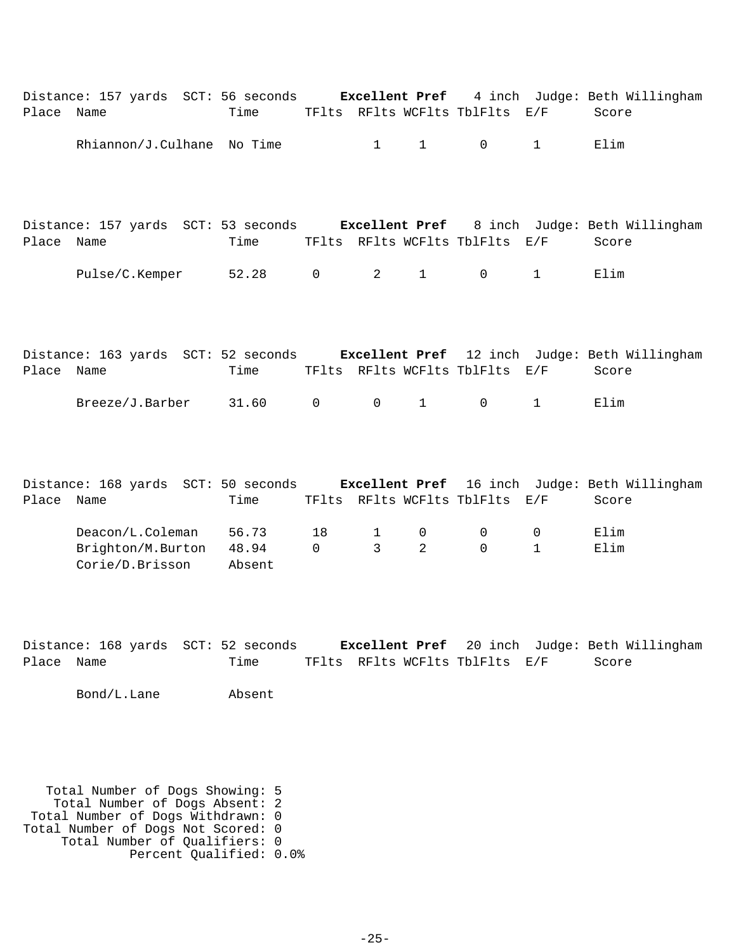|            | Distance: 157 yards SCT: 56 seconds Excellent Pref 4 inch Judge: Beth Willingham  |                 |                |                        |                |                                |              |       |
|------------|-----------------------------------------------------------------------------------|-----------------|----------------|------------------------|----------------|--------------------------------|--------------|-------|
| Place Name |                                                                                   | Time            |                |                        |                | TFlts RFlts WCFlts TblFlts E/F |              | Score |
|            | Rhiannon/J.Culhane No Time                                                        |                 |                | $1 \quad \blacksquare$ | $\mathbf{1}$   | $\mathsf{O}$                   | $\mathbf{1}$ | Elim  |
|            |                                                                                   |                 |                |                        |                |                                |              |       |
| Place Name | Distance: 157 yards SCT: 53 seconds Excellent Pref 8 inch Judge: Beth Willingham  | Time            |                |                        |                | TFlts RFlts WCFlts TblFlts E/F |              | Score |
|            | Pulse/C.Kemper 52.28                                                              |                 | $\overline{0}$ | $\overline{2}$         | $\mathbf{1}$   | $\mathsf{O}$                   | $\mathbf{1}$ | Elim  |
|            | Distance: 163 yards SCT: 52 seconds Excellent Pref 12 inch Judge: Beth Willingham |                 |                |                        |                |                                |              |       |
| Place Name |                                                                                   | Time            |                |                        |                | TFlts RFlts WCFlts TblFlts E/F |              | Score |
|            | $Breeze/J.Barber$ 31.60                                                           |                 | $\mathsf{O}$   | $\Omega$               | $\mathbf{1}$   | $\overline{0}$                 | $\mathbf{1}$ | Elim  |
|            | Distance: 168 yards SCT: 50 seconds Excellent Pref 16 inch Judge: Beth Willingham |                 |                |                        |                |                                |              |       |
| Place Name |                                                                                   | Time            |                |                        |                | TFlts RFlts WCFlts TblFlts E/F |              | Score |
|            | Deacon/L.Coleman                                                                  | 56.73           | 18             | $\mathbf{1}$           | 0              | 0                              | 0            | Elim  |
|            | Brighton/M.Burton<br>Corie/D.Brisson                                              | 48.94<br>Absent | $\mathsf{O}$   | $\mathbf{3}$           | $\overline{2}$ | $\Omega$                       | $\mathbf{1}$ | Elim  |

|            | Distance: 168 yards SCT: 52 seconds |                                |  | <b>Excellent Pref</b> 20 inch Judge: Beth Willingham |
|------------|-------------------------------------|--------------------------------|--|------------------------------------------------------|
| Place Name | Time                                | TFlts RFlts WCFlts TblFlts E/F |  | Score                                                |

Bond/L.Lane Absent

 Total Number of Dogs Showing: 5 Total Number of Dogs Absent: 2 Total Number of Dogs Withdrawn: 0 Total Number of Dogs Not Scored: 0 Total Number of Qualifiers: 0 Percent Qualified: 0.0%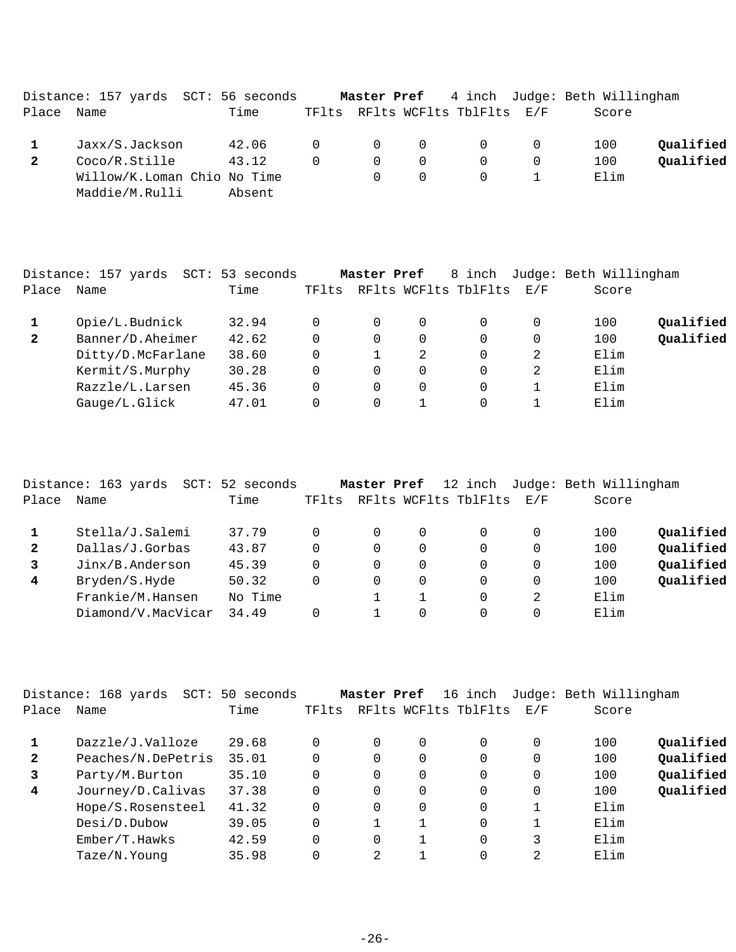|              | Distance: 157 yards SCT: 56 seconds |        |          |          |          |                                             | Master Pref 4 inch Judge: Beth Willingham |           |
|--------------|-------------------------------------|--------|----------|----------|----------|---------------------------------------------|-------------------------------------------|-----------|
| Place        | Name                                | Time   |          |          |          | TFlts RFlts WCFlts TblFlts E/F              | Score                                     |           |
|              | Jaxx/S.Jackson                      | 42.06  |          |          |          | $\begin{matrix} 0 & 0 & 0 & 0 \end{matrix}$ | 100                                       | Oualified |
| $\mathbf{2}$ | Coco/R.Stille                       | 43.12  | $\Omega$ | $\Omega$ | $\Omega$ | $\Omega$                                    | 100                                       | Oualified |
|              | Willow/K.Loman Chio No Time         |        |          | $\Omega$ | $\Omega$ | $\Omega$                                    | Elim                                      |           |
|              | Maddie/M.Rulli                      | Absent |          |          |          |                                             |                                           |           |

|              | Distance: 157 yards<br>SCT: | 53 seconds |          | Master Pref |   | 8 inch               |     | Judge: Beth Willingham |           |
|--------------|-----------------------------|------------|----------|-------------|---|----------------------|-----|------------------------|-----------|
| Place        | Name                        | Time       | TFlts    |             |   | RFlts WCFlts TblFlts | E/F | Score                  |           |
|              | Opie/L.Budnick              | 32.94      |          | $\Omega$    | 0 |                      |     | 100                    | Qualified |
| $\mathbf{2}$ | Banner/D.Aheimer            | 42.62      | $\Omega$ | $\Omega$    | 0 | 0                    | 0   | 100                    | Qualified |
|              | Ditty/D.McFarlane           | 38.60      | $\Omega$ |             | 2 | $\Omega$             | 2   | Elim                   |           |
|              | Kermit/S.Murphy             | 30.28      | $\Omega$ | $\Omega$    | 0 | $\Omega$             | 2   | Elim                   |           |
|              | Razzle/L.Larsen             | 45.36      |          | $\Omega$    | 0 | $\Omega$             |     | Elim                   |           |
|              | Gauge/L.Glick               | 47.01      |          | $\Omega$    |   |                      |     | Elim                   |           |
|              |                             |            |          |             |   |                      |     |                        |           |

|                | Distance: 163 yards<br>SCT: | 52 seconds |       | Master Pref |          | 12 inch              |     | Judge: Beth Willingham |           |
|----------------|-----------------------------|------------|-------|-------------|----------|----------------------|-----|------------------------|-----------|
| Place          | Name                        | Time       | TFlts |             |          | RFlts WCFlts TblFlts | E/F | Score                  |           |
|                | Stella/J.Salemi             | 37.79      | 0     |             | $\Omega$ |                      |     | 100                    | Qualified |
| $\mathbf{2}$   | Dallas/J.Gorbas             | 43.87      | 0     | 0           | $\Omega$ | $\Omega$             |     | 100                    | Qualified |
| 3              | Jinx/B.Anderson             | 45.39      | 0     | 0           | $\Omega$ | $\Omega$             |     | 100                    | Qualified |
| $\overline{4}$ | Bryden/S.Hyde               | 50.32      | 0     | 0           | $\Omega$ | $\Omega$             | 0   | 100                    | Qualified |
|                | Frankie/M.Hansen            | No Time    |       |             |          | $\Omega$             | 2   | Elim                   |           |
|                | Diamond/V.MacVicar          | 34.49      |       |             | $\Omega$ |                      |     | Elim                   |           |
|                |                             |            |       |             |          |                      |     |                        |           |

|              | Distance: 168 yards<br>SCT: | 50 seconds |       | Master Pref |          | 16 inch              |     | Judge: Beth Willingham |           |
|--------------|-----------------------------|------------|-------|-------------|----------|----------------------|-----|------------------------|-----------|
| Place        | Name                        | Time       | TFlts |             |          | RFlts WCFlts TblFlts | E/F | Score                  |           |
|              | Dazzle/J.Valloze            | 29.68      |       | $\Omega$    | $\Omega$ | $\Omega$             | 0   | 100                    | Qualified |
| $\mathbf{2}$ | Peaches/N.DePetris          | 35.01      |       | $\Omega$    | $\Omega$ | $\Omega$             | 0   | 100                    | Qualified |
| 3            | Party/M.Burton              | 35.10      |       | 0           | 0        | 0                    | 0   | 100                    | Qualified |
| 4            | Journey/D.Calivas           | 37.38      |       | $\Omega$    | $\Omega$ | 0                    | 0   | 100                    | Qualified |
|              | Hope/S.Rosensteel           | 41.32      |       | $\Omega$    | 0        | 0                    |     | Elim                   |           |
|              | Desi/D.Dubow                | 39.05      |       |             |          | $\Omega$             |     | Elim                   |           |
|              | Ember/T.Hawks               | 42.59      |       | $\Omega$    |          | 0                    | 3   | Elim                   |           |
|              | Taze/N.Young                | 35.98      |       | 2           |          | 0                    | 2   | Elim                   |           |
|              |                             |            |       |             |          |                      |     |                        |           |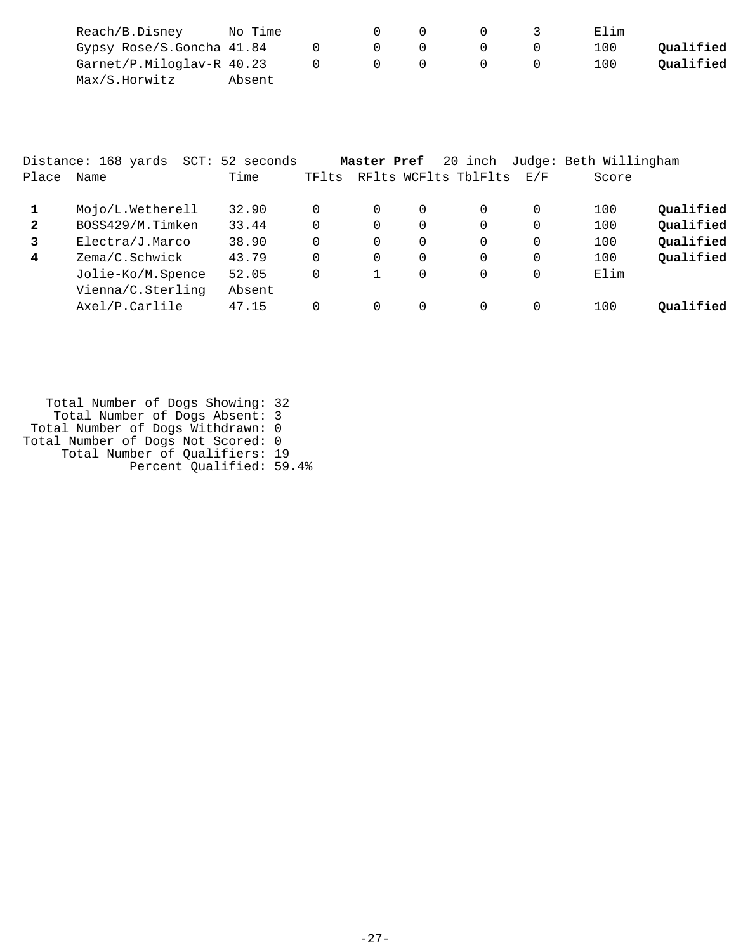| Reach/B.Disney            | No Time |  |  | Elim |           |
|---------------------------|---------|--|--|------|-----------|
| Gypsy Rose/S.Goncha 41.84 |         |  |  | 100  | Oualified |
| Garnet/P.Miloglav-R 40.23 |         |  |  | 100  | Oualified |
| Max/S.Horwitz             | Absent  |  |  |      |           |

|              | Distance: 168 yards | SCT: 52 seconds |       | Master Pref |          | 20 inch              |     | Judge: Beth Willingham |           |
|--------------|---------------------|-----------------|-------|-------------|----------|----------------------|-----|------------------------|-----------|
| Place        | Name                | Time            | TFlts |             |          | RFlts WCFlts TblFlts | E/F | Score                  |           |
| 1            | Mojo/L.Wetherell    | 32.90           | 0     | 0           | $\Omega$ | $\Omega$             |     | 100                    | Qualified |
| $\mathbf{2}$ | BOSS429/M.Timken    | 33.44           | 0     | 0           | $\Omega$ | $\Omega$             |     | 100                    | Qualified |
| 3            | Electra/J.Marco     | 38.90           | 0     | 0           | $\Omega$ | $\Omega$             |     | 100                    | Qualified |
| 4            | Zema/C.Schwick      | 43.79           | 0     | 0           | $\Omega$ | $\Omega$             |     | 100                    | Qualified |
|              | Jolie-Ko/M.Spence   | 52.05           | 0     |             | $\Omega$ | $\Omega$             |     | Elim                   |           |
|              | Vienna/C.Sterling   | Absent          |       |             |          |                      |     |                        |           |
|              | Axel/P.Carlile      | 47.15           |       | 0           | $\Omega$ |                      |     | 100                    | Oualified |

 Total Number of Dogs Showing: 32 Total Number of Dogs Absent: 3 Total Number of Dogs Withdrawn: 0 Total Number of Dogs Not Scored: 0 Total Number of Qualifiers: 19 Percent Qualified: 59.4%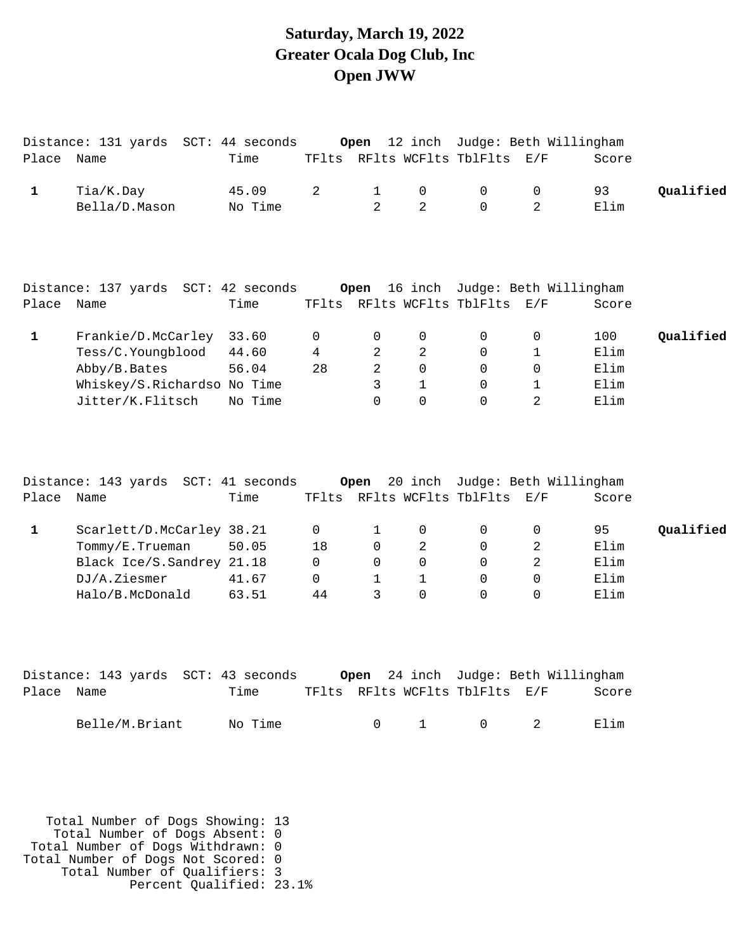### **Saturday, March 19, 2022 Greater Ocala Dog Club, Inc Open JWW**

|              | Distance: 131 yards SCT: 44 seconds |         |          | Open           |                |                                | 12 inch Judge: Beth Willingham |       |           |
|--------------|-------------------------------------|---------|----------|----------------|----------------|--------------------------------|--------------------------------|-------|-----------|
| Place Name   |                                     | Time    |          |                |                | TFlts RFlts WCFlts TblFlts E/F |                                | Score |           |
| 1            | Tia/K.Day                           | 45.09   | 2        | $\mathbf{1}$   | 0              | 0                              | 0                              | 93    | Qualified |
|              | Bella/D.Mason                       | No Time |          | $\overline{2}$ | $\overline{2}$ | $\Omega$                       | $\overline{a}$                 | Elim  |           |
|              |                                     |         |          |                |                |                                |                                |       |           |
|              | Distance: 137 yards SCT: 42 seconds |         |          | Open           |                |                                | 16 inch Judge: Beth Willingham |       |           |
| Place        | Name                                | Time    |          |                |                | TFlts RFlts WCFlts TblFlts E/F |                                | Score |           |
| $\mathbf{1}$ | Frankie/D.McCarley                  | 33.60   | 0        | 0              | 0              | 0                              | 0                              | 100   | Qualified |
|              | Tess/C.Youngblood                   | 44.60   | 4        | 2              | $\overline{a}$ | $\mathbf 0$                    | 1                              | Elim  |           |
|              | Abby/B.Bates                        | 56.04   | 28       | $\overline{2}$ | 0              | $\mathbf 0$                    | 0                              | Elim  |           |
|              | Whiskey/S.Richardso No Time         |         |          | 3              | $\mathbf{1}$   | $\Omega$                       | $\mathbf{1}$                   | Elim  |           |
|              | Jitter/K.Flitsch                    | No Time |          | $\Omega$       | 0              | $\Omega$                       | $\overline{2}$                 | Elim  |           |
| Place Name   | Distance: 143 yards SCT: 41 seconds | Time    |          | Open           |                | TFlts RFlts WCFlts TblFlts E/F | 20 inch Judge: Beth Willingham | Score |           |
| $\mathbf{1}$ | Scarlett/D.McCarley 38.21           |         | 0        | 1              | 0              | $\mathbf 0$                    | 0                              | 95    | Qualified |
|              | Tommy/E.Trueman                     | 50.05   | 18       | $\Omega$       | 2              | $\Omega$                       | 2                              | Elim  |           |
|              | Black Ice/S.Sandrey 21.18           |         | $\Omega$ | $\Omega$       | $\Omega$       | $\Omega$                       | 2                              | Elim  |           |
|              | DJ/A.Ziesmer                        | 41.67   | $\Omega$ | $\mathbf{1}$   | $\mathbf{1}$   | $\Omega$                       | $\Omega$                       | Elim  |           |
|              | Halo/B.McDonald                     | 63.51   | 44       | 3              | $\Omega$       | $\Omega$                       | $\Omega$                       | Elim  |           |
| Place Name   | Distance: 143 yards SCT: 43 seconds | Time    |          | Open           |                | TFlts RFlts WCFlts TblFlts E/F | 24 inch Judge: Beth Willingham | Score |           |
|              | Belle/M.Briant                      | No Time |          | 0              | $\mathbf{1}$   | $\mathbf 0$                    | 2                              | Elim  |           |

 Total Number of Dogs Showing: 13 Total Number of Dogs Absent: 0 Total Number of Dogs Withdrawn: 0 Total Number of Dogs Not Scored: 0 Total Number of Qualifiers: 3 Percent Qualified: 23.1%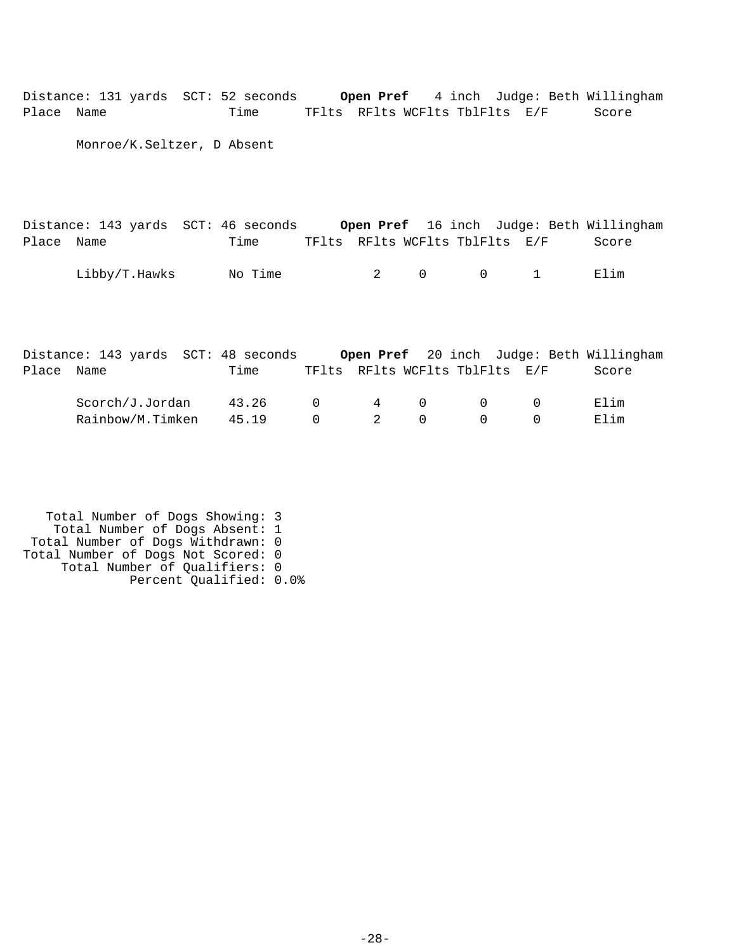Distance: 131 yards SCT: 52 seconds **Open Pref** 4 inch Judge: Beth Willingham Place Name Time TFlts RFlts WCFlts TblFlts E/F Score

Monroe/K.Seltzer, D Absent

|            | Distance: 143 yards SCT: 46 seconds |         |  |                          |                                        | Open Pref 16 inch Judge: Beth Willingham |
|------------|-------------------------------------|---------|--|--------------------------|----------------------------------------|------------------------------------------|
| Place Name |                                     | Time    |  |                          | TFlts RFlts WCFlts TblFlts E/F         | Score                                    |
|            | Libby/T.Hawks                       | No Time |  | $2 \qquad \qquad \Omega$ | $\begin{array}{ccc} & & 1 \end{array}$ | Elim                                     |

|            | Distance: 143 yards SCT: 48 seconds |       |           |              |                                | <b>Open Pref</b> 20 inch Judge: Beth Willingham |
|------------|-------------------------------------|-------|-----------|--------------|--------------------------------|-------------------------------------------------|
| Place Name |                                     | Time  |           |              | TFlts RFlts WCFlts TblFlts E/F | Score                                           |
|            | Scorch/J.Jordan                     | 43.26 | $\Omega$  |              | 4 0 0                          | F.Iim                                           |
|            | Rainbow/M.Timken                    | 45 19 | $\bigcap$ | $2 \qquad 0$ |                                | Elim                                            |

 Total Number of Dogs Showing: 3 Total Number of Dogs Absent: 1 Total Number of Dogs Withdrawn: 0 Total Number of Dogs Not Scored: 0 Total Number of Qualifiers: 0 Percent Qualified: 0.0%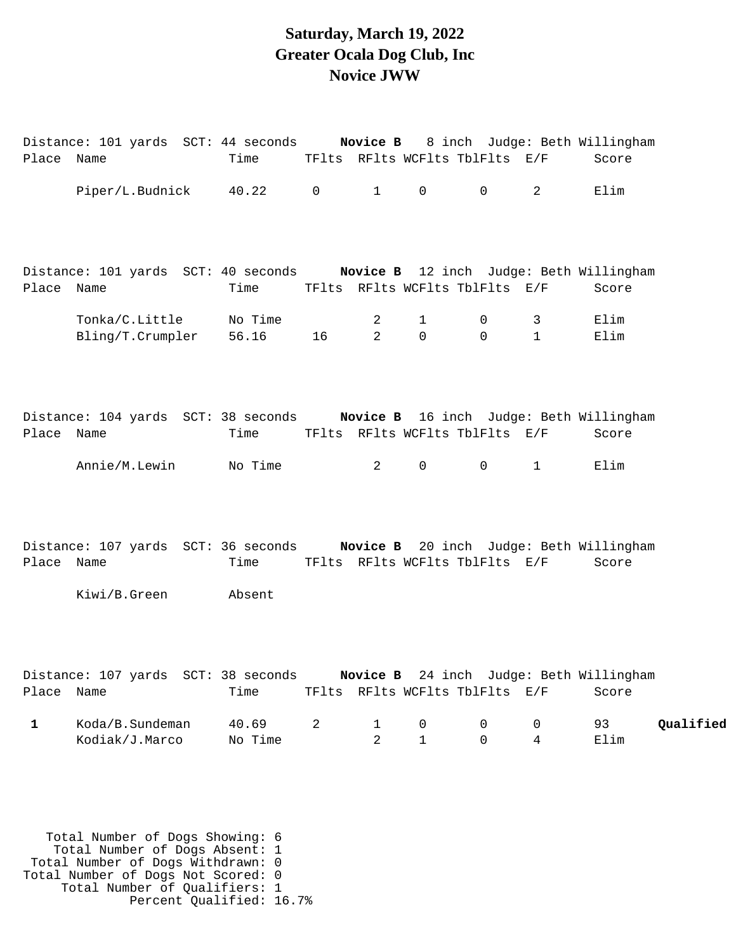#### **Saturday, March 19, 2022 Greater Ocala Dog Club, Inc Novice JWW**

| Place Name   | Distance: 101 yards SCT: 44 seconds Novice B 8 inch Judge: Beth Willingham  | Time TFlts RFlts WCFlts TblFlts E/F |       |                               |                                |                             |                     | Score                                            |           |
|--------------|-----------------------------------------------------------------------------|-------------------------------------|-------|-------------------------------|--------------------------------|-----------------------------|---------------------|--------------------------------------------------|-----------|
|              | Piper/L.Budnick                                                             | 40.22 0                             |       | $1 \quad \blacksquare$        | $\overline{0}$                 | $\overline{0}$              | $\overline{2}$      | Elim                                             |           |
| Place Name   | Distance: 101 yards SCT: 40 seconds Novice B 12 inch Judge: Beth Willingham | Time                                |       |                               | TFlts RFlts WCFlts TblFlts E/F |                             |                     | Score                                            |           |
|              | Tonka/C.Little<br>Bling/T.Crumpler                                          | No Time<br>56.16                    | 16 10 | 2<br>$\overline{2}$           | $\mathbf{1}$<br>$\mathsf{O}$   | $\mathsf{O}$<br>$\mathbf 0$ | 3<br>$\mathbf{1}$   | Elim<br>Elim                                     |           |
| Place Name   | Distance: 104 yards SCT: 38 seconds Novice B 16 inch Judge: Beth Willingham | Time                                |       |                               | TFlts RFlts WCFlts TblFlts E/F |                             |                     | Score                                            |           |
|              | Annie/M.Lewin                                                               | No Time                             |       | $\overline{2}$                | $\mathsf{O}$                   | $\overline{0}$              | $\mathbf{1}$        | Elim                                             |           |
| Place Name   | Distance: 107 yards SCT: 36 seconds Novice B 20 inch Judge: Beth Willingham | Time                                |       |                               | TFlts RFlts WCFlts TblFlts E/F |                             |                     | Score                                            |           |
|              | Kiwi/B.Green                                                                | Absent                              |       |                               |                                |                             |                     |                                                  |           |
| Place Name   | Distance: 107 yards SCT: 38 seconds                                         | Time                                |       |                               | TFlts RFlts WCFlts TblFlts E/F |                             |                     | Novice B 24 inch Judge: Beth Willingham<br>Score |           |
| $\mathbf{1}$ | Koda/B.Sundeman<br>Kodiak/J.Marco                                           | 40.69<br>No Time                    | 2     | $\mathbf 1$<br>$\overline{2}$ | $\mathsf{O}$<br>$\mathbf{1}$   | 0<br>$\Omega$               | 0<br>$\overline{4}$ | 93<br>Elim                                       | Qualified |
|              |                                                                             |                                     |       |                               |                                |                             |                     |                                                  |           |

 Total Number of Dogs Showing: 6 Total Number of Dogs Absent: 1 Total Number of Dogs Withdrawn: 0 Total Number of Dogs Not Scored: 0 Total Number of Qualifiers: 1 Percent Qualified: 16.7%